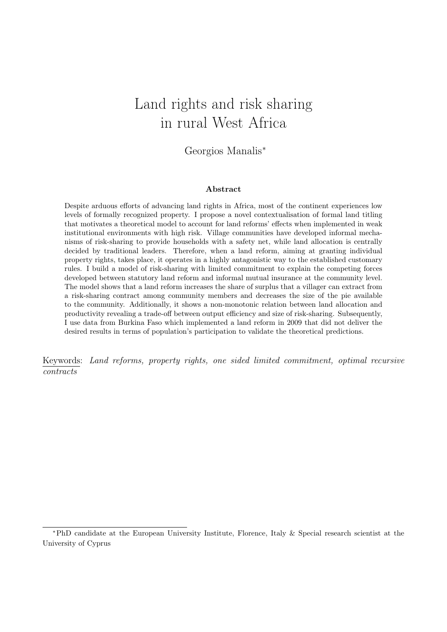# <span id="page-0-0"></span>Land rights and risk sharing in rural West Africa

Georgios Manalis<sup>∗</sup>

#### Abstract

Despite arduous efforts of advancing land rights in Africa, most of the continent experiences low levels of formally recognized property. I propose a novel contextualisation of formal land titling that motivates a theoretical model to account for land reforms' effects when implemented in weak institutional environments with high risk. Village communities have developed informal mechanisms of risk-sharing to provide households with a safety net, while land allocation is centrally decided by traditional leaders. Therefore, when a land reform, aiming at granting individual property rights, takes place, it operates in a highly antagonistic way to the established customary rules. I build a model of risk-sharing with limited commitment to explain the competing forces developed between statutory land reform and informal mutual insurance at the community level. The model shows that a land reform increases the share of surplus that a villager can extract from a risk-sharing contract among community members and decreases the size of the pie available to the community. Additionally, it shows a non-monotonic relation between land allocation and productivity revealing a trade-off between output efficiency and size of risk-sharing. Subsequently, I use data from Burkina Faso which implemented a land reform in 2009 that did not deliver the desired results in terms of population's participation to validate the theoretical predictions.

Keywords: Land reforms, property rights, one sided limited commitment, optimal recursive contracts

<sup>∗</sup>PhD candidate at the European University Institute, Florence, Italy & Special research scientist at the University of Cyprus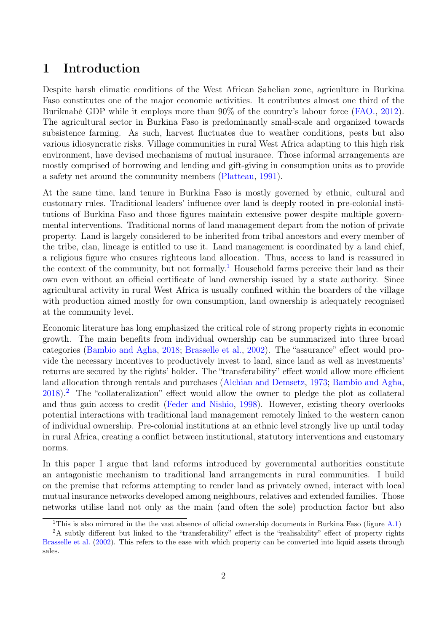## 1 Introduction

Despite harsh climatic conditions of the West African Sahelian zone, agriculture in Burkina Faso constitutes one of the major economic activities. It contributes almost one third of the Buriknabé GDP while it employs more than 90% of the country's labour force [\(FAO.,](#page-26-0) [2012\)](#page-26-0). The agricultural sector in Burkina Faso is predominantly small-scale and organized towards subsistence farming. As such, harvest fluctuates due to weather conditions, pests but also various idiosyncratic risks. Village communities in rural West Africa adapting to this high risk environment, have devised mechanisms of mutual insurance. Those informal arrangements are mostly comprised of borrowing and lending and gift-giving in consumption units as to provide a safety net around the community members [\(Platteau,](#page-26-1) [1991\)](#page-26-1).

At the same time, land tenure in Burkina Faso is mostly governed by ethnic, cultural and customary rules. Traditional leaders' influence over land is deeply rooted in pre-colonial institutions of Burkina Faso and those figures maintain extensive power despite multiple governmental interventions. Traditional norms of land management depart from the notion of private property. Land is largely considered to be inherited from tribal ancestors and every member of the tribe, clan, lineage is entitled to use it. Land management is coordinated by a land chief, a religious figure who ensures righteous land allocation. Thus, access to land is reassured in the context of the community, but not formally.<sup>[1](#page-1-0)</sup> Household farms perceive their land as their own even without an official certificate of land ownership issued by a state authority. Since agricultural activity in rural West Africa is usually confined within the boarders of the village with production aimed mostly for own consumption, land ownership is adequately recognised at the community level.

Economic literature has long emphasized the critical role of strong property rights in economic growth. The main benefits from individual ownership can be summarized into three broad categories [\(Bambio and Agha,](#page-25-0) [2018;](#page-25-0) [Brasselle et al.,](#page-25-1) [2002\)](#page-25-1). The "assurance" effect would provide the necessary incentives to productively invest to land, since land as well as investments' returns are secured by the rights' holder. The "transferability" effect would allow more efficient land allocation through rentals and purchases [\(Alchian and Demsetz,](#page-25-2) [1973;](#page-25-2) [Bambio and Agha,](#page-25-0) [2018\)](#page-25-0).[2](#page-1-1) The "collateralization" effect would allow the owner to pledge the plot as collateral and thus gain access to credit [\(Feder and Nishio,](#page-26-2) [1998\)](#page-26-2). However, existing theory overlooks potential interactions with traditional land management remotely linked to the western canon of individual ownership. Pre-colonial institutions at an ethnic level strongly live up until today in rural Africa, creating a conflict between institutional, statutory interventions and customary norms.

In this paper I argue that land reforms introduced by governmental authorities constitute an antagonistic mechanism to traditional land arrangements in rural communities. I build on the premise that reforms attempting to render land as privately owned, interact with local mutual insurance networks developed among neighbours, relatives and extended families. Those networks utilise land not only as the main (and often the sole) production factor but also

<span id="page-1-1"></span><span id="page-1-0"></span><sup>&</sup>lt;sup>1</sup>This is also mirrored in the the vast absence of official ownership documents in Burkina Faso (figure  $A.1$ )

<sup>&</sup>lt;sup>2</sup>A subtly different but linked to the "transferability" effect is the "realisability" effect of property rights [Brasselle et al.](#page-25-1) [\(2002\)](#page-25-1). This refers to the ease with which property can be converted into liquid assets through sales.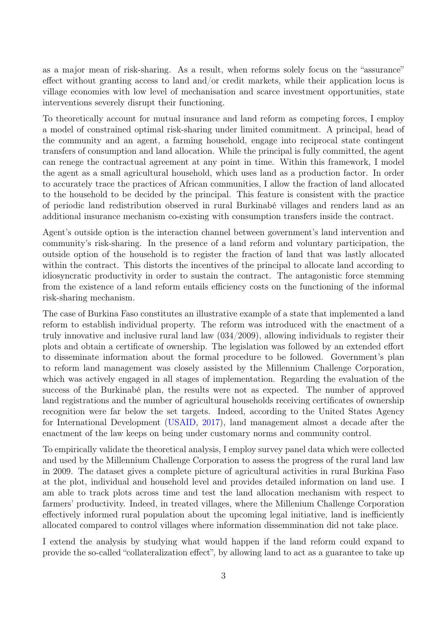as a major mean of risk-sharing. As a result, when reforms solely focus on the "assurance" effect without granting access to land and/or credit markets, while their application locus is village economies with low level of mechanisation and scarce investment opportunities, state interventions severely disrupt their functioning.

To theoretically account for mutual insurance and land reform as competing forces, I employ a model of constrained optimal risk-sharing under limited commitment. A principal, head of the community and an agent, a farming household, engage into reciprocal state contingent transfers of consumption and land allocation. While the principal is fully committed, the agent can renege the contractual agreement at any point in time. Within this framework, I model the agent as a small agricultural household, which uses land as a production factor. In order to accurately trace the practices of African communities, I allow the fraction of land allocated to the household to be decided by the principal. This feature is consistent with the practice of periodic land redistribution observed in rural Burkinabé villages and renders land as an additional insurance mechanism co-existing with consumption transfers inside the contract.

Agent's outside option is the interaction channel between government's land intervention and community's risk-sharing. In the presence of a land reform and voluntary participation, the outside option of the household is to register the fraction of land that was lastly allocated within the contract. This distorts the incentives of the principal to allocate land according to idiosyncratic productivity in order to sustain the contract. The antagonistic force stemming from the existence of a land reform entails efficiency costs on the functioning of the informal risk-sharing mechanism.

The case of Burkina Faso constitutes an illustrative example of a state that implemented a land reform to establish individual property. The reform was introduced with the enactment of a truly innovative and inclusive rural land law (034/2009), allowing individuals to register their plots and obtain a certificate of ownership. The legislation was followed by an extended effort to disseminate information about the formal procedure to be followed. Government's plan to reform land management was closely assisted by the Millennium Challenge Corporation, which was actively engaged in all stages of implementation. Regarding the evaluation of the success of the Burkinabé plan, the results were not as expected. The number of approved land registrations and the number of agricultural households receiving certificates of ownership recognition were far below the set targets. Indeed, according to the United States Agency for International Development [\(USAID,](#page-27-0) [2017\)](#page-27-0), land management almost a decade after the enactment of the law keeps on being under customary norms and community control.

To empirically validate the theoretical analysis, I employ survey panel data which were collected and used by the Millennium Challenge Corporation to assess the progress of the rural land law in 2009. The dataset gives a complete picture of agricultural activities in rural Burkina Faso at the plot, individual and household level and provides detailed information on land use. I am able to track plots across time and test the land allocation mechanism with respect to farmers' productivity. Indeed, in treated villages, where the Millenium Challenge Corporation effectively informed rural population about the upcoming legal initiative, land is inefficiently allocated compared to control villages where information dissemmination did not take place.

I extend the analysis by studying what would happen if the land reform could expand to provide the so-called "collateralization effect", by allowing land to act as a guarantee to take up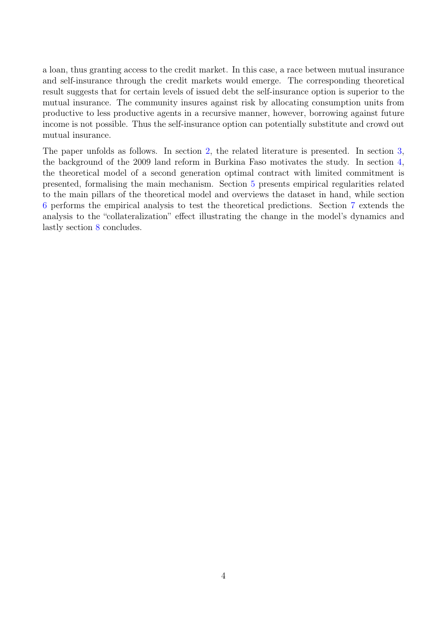a loan, thus granting access to the credit market. In this case, a race between mutual insurance and self-insurance through the credit markets would emerge. The corresponding theoretical result suggests that for certain levels of issued debt the self-insurance option is superior to the mutual insurance. The community insures against risk by allocating consumption units from productive to less productive agents in a recursive manner, however, borrowing against future income is not possible. Thus the self-insurance option can potentially substitute and crowd out mutual insurance.

The paper unfolds as follows. In section [2,](#page-4-0) the related literature is presented. In section [3,](#page-5-0) the background of the 2009 land reform in Burkina Faso motivates the study. In section [4,](#page-8-0) the theoretical model of a second generation optimal contract with limited commitment is presented, formalising the main mechanism. Section [5](#page-14-0) presents empirical regularities related to the main pillars of the theoretical model and overviews the dataset in hand, while section [6](#page-17-0) performs the empirical analysis to test the theoretical predictions. Section [7](#page-21-0) extends the analysis to the "collateralization" effect illustrating the change in the model's dynamics and lastly section [8](#page-24-0) concludes.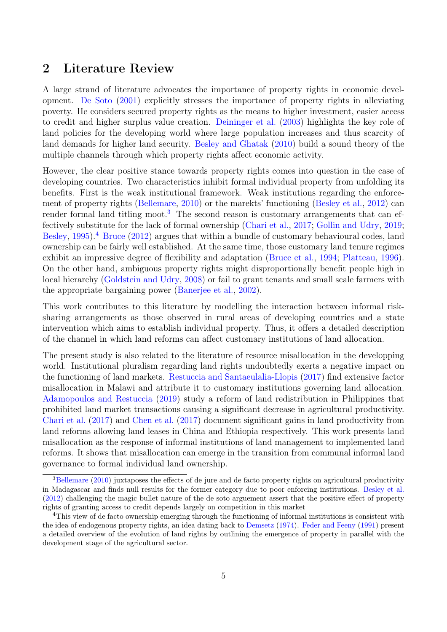## <span id="page-4-0"></span>2 Literature Review

A large strand of literature advocates the importance of property rights in economic development. [De Soto](#page-25-3) [\(2001\)](#page-25-3) explicitly stresses the importance of property rights in alleviating poverty. He considers secured property rights as the means to higher investment, easier access to credit and higher surplus value creation. [Deininger et al.](#page-25-4) [\(2003\)](#page-25-4) highlights the key role of land policies for the developing world where large population increases and thus scarcity of land demands for higher land security. [Besley and Ghatak](#page-25-5) [\(2010\)](#page-25-5) build a sound theory of the multiple channels through which property rights affect economic activity.

However, the clear positive stance towards property rights comes into question in the case of developing countries. Two characteristics inhibit formal individual property from unfolding its benefits. First is the weak institutional framework. Weak institutions regarding the enforcement of property rights [\(Bellemare,](#page-25-6) [2010\)](#page-25-6) or the marekts' functioning [\(Besley et al.,](#page-25-7) [2012\)](#page-25-7) can render formal land titling moot.<sup>[3](#page-4-1)</sup> The second reason is customary arrangements that can effectively substitute for the lack of formal ownership [\(Chari et al.,](#page-25-8) [2017;](#page-25-8) [Gollin and Udry,](#page-26-3) [2019;](#page-26-3) [Besley,](#page-25-9) [1995\)](#page-25-9).<sup>[4](#page-4-2)</sup> [Bruce](#page-25-10) [\(2012\)](#page-25-10) argues that within a bundle of customary behavioural codes, land ownership can be fairly well established. At the same time, those customary land tenure regimes exhibit an impressive degree of flexibility and adaptation [\(Bruce et al.,](#page-25-11) [1994;](#page-25-11) [Platteau,](#page-26-4) [1996\)](#page-26-4). On the other hand, ambiguous property rights might disproportionally benefit people high in local hierarchy [\(Goldstein and Udry,](#page-26-5) [2008\)](#page-26-5) or fail to grant tenants and small scale farmers with the appropriate bargaining power [\(Banerjee et al.,](#page-25-12) [2002\)](#page-25-12).

This work contributes to this literature by modelling the interaction between informal risksharing arrangements as those observed in rural areas of developing countries and a state intervention which aims to establish individual property. Thus, it offers a detailed description of the channel in which land reforms can affect customary institutions of land allocation.

The present study is also related to the literature of resource misallocation in the developping world. Institutional pluralism regarding land rights undoubtedly exerts a negative impact on the functioning of land markets. [Restuccia and Santaeulalia-Llopis](#page-27-1) [\(2017\)](#page-27-1) find extensive factor misallocation in Malawi and attribute it to customary institutions governing land allocation. [Adamopoulos and Restuccia](#page-25-13) [\(2019\)](#page-25-13) study a reform of land redistribution in Philippines that prohibited land market transactions causing a significant decrease in agricultural productivity. [Chari et al.](#page-25-8) [\(2017\)](#page-25-8) and [Chen et al.](#page-25-14) [\(2017\)](#page-25-14) document significant gains in land productivity from land reforms allowing land leases in China and Ethiopia respectively. This work presents land misallocation as the response of informal institutions of land management to implemented land reforms. It shows that misallocation can emerge in the transition from communal informal land governance to formal individual land ownership.

<span id="page-4-1"></span><sup>&</sup>lt;sup>3</sup>[Bellemare](#page-25-6) [\(2010\)](#page-25-6) juxtaposes the effects of de jure and de facto property rights on agricultural productivity in Madagascar and finds null results for the former category due to poor enforcing institutions. [Besley et al.](#page-25-7) [\(2012\)](#page-25-7) challenging the magic bullet nature of the de soto arguement assert that the positive effect of property rights of granting access to credit depends largely on competition in this market

<span id="page-4-2"></span><sup>4</sup>This view of de facto ownership emerging through the functioning of informal institutions is consistent with the idea of endogenous property rights, an idea dating back to [Demsetz](#page-26-6) [\(1974\)](#page-26-6). [Feder and Feeny](#page-26-7) [\(1991\)](#page-26-7) present a detailed overview of the evolution of land rights by outlining the emergence of property in parallel with the development stage of the agricultural sector.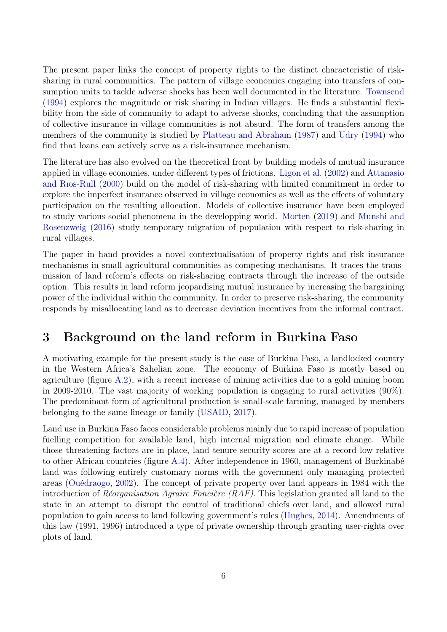The present paper links the concept of property rights to the distinct characteristic of risksharing in rural communities. The pattern of village economies engaging into transfers of consumption units to tackle adverse shocks has been well documented in the literature. [Townsend](#page-27-2) [\(1994\)](#page-27-2) explores the magnitude or risk sharing in Indian villages. He finds a substantial flexibility from the side of community to adapt to adverse shocks, concluding that the assumption of collective insurance in village communities is not absurd. The form of transfers among the members of the community is studied by [Platteau and Abraham](#page-27-3) [\(1987\)](#page-27-3) and [Udry](#page-27-4) [\(1994\)](#page-27-4) who find that loans can actively serve as a risk-insurance mechanism.

The literature has also evolved on the theoretical front by building models of mutual insurance applied in village economies, under different types of frictions. [Ligon et al.](#page-26-8) [\(2002\)](#page-26-8) and [Attanasio](#page-25-15) [and Rıos-Rull](#page-25-15) [\(2000\)](#page-25-15) build on the model of risk-sharing with limited commitment in order to explore the imperfect insurance observed in village economies as well as the effects of voluntary participation on the resulting allocation. Models of collective insurance have been employed to study various social phenomena in the developping world. [Morten](#page-26-9) [\(2019\)](#page-26-9) and [Munshi and](#page-26-10) [Rosenzweig](#page-26-10) [\(2016\)](#page-26-10) study temporary migration of population with respect to risk-sharing in rural villages.

The paper in hand provides a novel contextualisation of property rights and risk insurance mechanisms in small agricultural communities as competing mechanisms. It traces the transmission of land reform's effects on risk-sharing contracts through the increase of the outside option. This results in land reform jeopardising mutual insurance by increasing the bargaining power of the individual within the community. In order to preserve risk-sharing, the community responds by misallocating land as to decrease deviation incentives from the informal contract.

## <span id="page-5-0"></span>3 Background on the land reform in Burkina Faso

A motivating example for the present study is the case of Burkina Faso, a landlocked country in the Western Africa's Sahelian zone. The economy of Burkina Faso is mostly based on agriculture (figure  $A.2$ ), with a recent increase of mining activities due to a gold mining boom in 2009-2010. The vast majority of working population is engaging to rural activities (90%). The predominant form of agricultural production is small-scale farming, managed by members belonging to the same lineage or family [\(USAID,](#page-27-0) [2017\)](#page-27-0).

Land use in Burkina Faso faces considerable problems mainly due to rapid increase of population fuelling competition for available land, high internal migration and climate change. While those threatening factors are in place, land tenure security scores are at a record low relative to other African countries (figure [A.4\)](#page-48-0). After independence in 1960, management of Burkinabé land was following entirely customary norms with the government only managing protected areas [\(Ouédraogo,](#page-26-11) [2002\)](#page-26-11). The concept of private property over land appears in 1984 with the introduction of Réorganisation Agraire Foncière  $(RAF)$ . This legislation granted all land to the state in an attempt to disrupt the control of traditional chiefs over land, and allowed rural population to gain access to land following government's rules [\(Hughes,](#page-26-12) [2014\)](#page-26-12). Amendments of this law (1991, 1996) introduced a type of private ownership through granting user-rights over plots of land.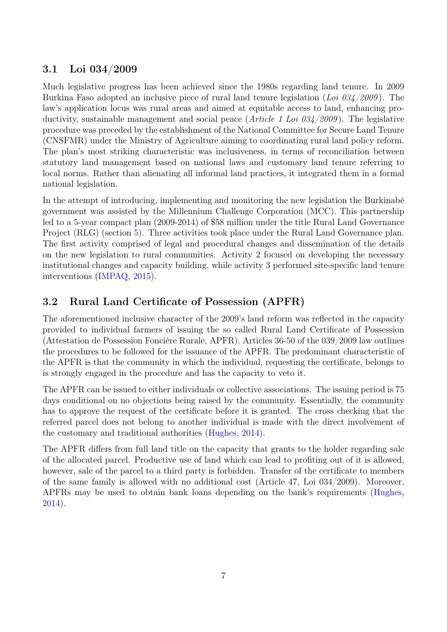## 3.1 Loi 034/2009

Much legislative progress has been achieved since the 1980s regarding land tenure. In 2009 Burkina Faso adopted an inclusive piece of rural land tenure legislation (Loi  $0.034/2009$ ). The law's application locus was rural areas and aimed at equitable access to land, enhancing productivity, sustainable management and social peace (*Article 1 Loi*  $0.34/2009$ ). The legislative procedure was preceded by the establishment of the National Committee for Secure Land Tenure (CNSFMR) under the Ministry of Agriculture aiming to coordinating rural land policy reform. The plan's most striking characteristic was inclusiveness, in terms of reconciliation between statutory land management based on national laws and customary land tenure referring to local norms. Rather than alienating all informal land practices, it integrated them in a formal national legislation.

In the attempt of introducing, implementing and monitoring the new legislation the Burkinabé government was assisted by the Millennium Challenge Corporation (MCC). This partnership led to a 5-year compact plan (2009-2014) of \$58 million under the title Rural Land Governance Project (RLG) (section [5\)](#page-14-0). Three activities took place under the Rural Land Governance plan. The first activity comprised of legal and procedural changes and dissemination of the details on the new legislation to rural communities. Activity 2 focused on developing the necessary institutional changes and capacity building, while activity 3 performed site-specific land tenure interventions [\(IMPAQ,](#page-26-13) [2015\)](#page-26-13).

## 3.2 Rural Land Certificate of Possession (APFR)

The aforementioned inclusive character of the 2009's land reform was reflected in the capacity provided to individual farmers of issuing the so called Rural Land Certificate of Possession (Attestation de Possession Foncière Rurale, APFR). Articles 36-50 of the 039/2009 law outlines the procedures to be followed for the issuance of the APFR. The predominant characteristic of the APFR is that the community in which the individual, requesting the certificate, belongs to is strongly engaged in the procedure and has the capacity to veto it.

The APFR can be issued to either individuals or collective associations. The issuing period is 75 days conditional on no objections being raised by the community. Essentially, the community has to approve the request of the certificate before it is granted. The cross checking that the referred parcel does not belong to another individual is made with the direct involvement of the customary and traditional authorities [\(Hughes,](#page-26-12) [2014\)](#page-26-12).

The APFR differs from full land title on the capacity that grants to the holder regarding sale of the allocated parcel. Productive use of land which can lead to profiting out of it is allowed, however, sale of the parcel to a third party is forbidden. Transfer of the certificate to members of the same family is allowed with no additional cost (Article 47, Loi 034/2009). Moreover, APFRs may be used to obtain bank loans depending on the bank's requirements [\(Hughes,](#page-26-12) [2014\)](#page-26-12).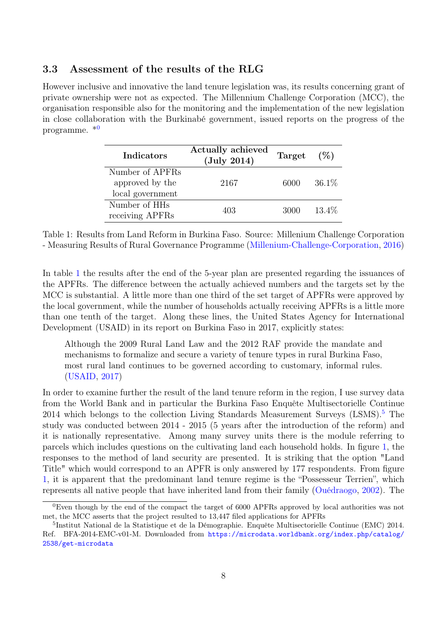### 3.3 Assessment of the results of the RLG

<span id="page-7-1"></span>However inclusive and innovative the land tenure legislation was, its results concerning grant of private ownership were not as expected. The Millennium Challenge Corporation (MCC), the organisation responsible also for the monitoring and the implementation of the new legislation in close collaboration with the Burkinabé government, issued reports on the progress of the programme. \*[0](#page-7-0)

| Indicators       | <b>Actually achieved</b><br>$(\mathrm{July\ 2014})$ | Target $(\%)$ |          |
|------------------|-----------------------------------------------------|---------------|----------|
| Number of APFRs  |                                                     |               |          |
| approved by the  | 2167                                                | 6000          | $36.1\%$ |
| local government |                                                     |               |          |
| Number of HHs    | 403                                                 | 3000          | 13.4\%   |
| receiving APFRs  |                                                     |               |          |

Table 1: Results from Land Reform in Burkina Faso. Source: Millenium Challenge Corporation - Measuring Results of Rural Governance Programme [\(Millenium-Challenge-Corporation,](#page-26-14) [2016\)](#page-26-14)

In table [1](#page-7-1) the results after the end of the 5-year plan are presented regarding the issuances of the APFRs. The difference between the actually achieved numbers and the targets set by the MCC is substantial. A little more than one third of the set target of APFRs were approved by the local government, while the number of households actually receiving APFRs is a little more than one tenth of the target. Along these lines, the United States Agency for International Development (USAID) in its report on Burkina Faso in 2017, explicitly states:

Although the 2009 Rural Land Law and the 2012 RAF provide the mandate and mechanisms to formalize and secure a variety of tenure types in rural Burkina Faso, most rural land continues to be governed according to customary, informal rules. [\(USAID,](#page-27-0) [2017\)](#page-27-0)

In order to examine further the result of the land tenure reform in the region, I use survey data from the World Bank and in particular the Burkina Faso Enquête Multisectorielle Continue  $2014$  which belongs to the collection Living Standards Measurement Surveys (LSMS).<sup>[5](#page-7-2)</sup> The study was conducted between 2014 - 2015 (5 years after the introduction of the reform) and it is nationally representative. Among many survey units there is the module referring to parcels which includes questions on the cultivating land each household holds. In figure [1,](#page-8-1) the responses to the method of land security are presented. It is striking that the option "Land Title" which would correspond to an APFR is only answered by 177 respondents. From figure [1,](#page-8-1) it is apparent that the predominant land tenure regime is the "Possesseur Terrien", which represents all native people that have inherited land from their family [\(Ouédraogo,](#page-26-11) [2002\)](#page-26-11). The

<span id="page-7-0"></span><sup>&</sup>lt;sup>0</sup>Even though by the end of the compact the target of 6000 APFRs approved by local authorities was not met, the MCC asserts that the project resulted to 13,447 filed applications for APFRs

<span id="page-7-2"></span><sup>5</sup> Institut National de la Statistique et de la Démographie. Enquête Multisectorielle Continue (EMC) 2014. Ref. BFA-2014-EMC-v01-M. Downloaded from [https://microdata.worldbank.org/index.php/catalog/](https://microdata.worldbank.org/index.php/catalog/2538/get-microdata) [2538/get-microdata](https://microdata.worldbank.org/index.php/catalog/2538/get-microdata)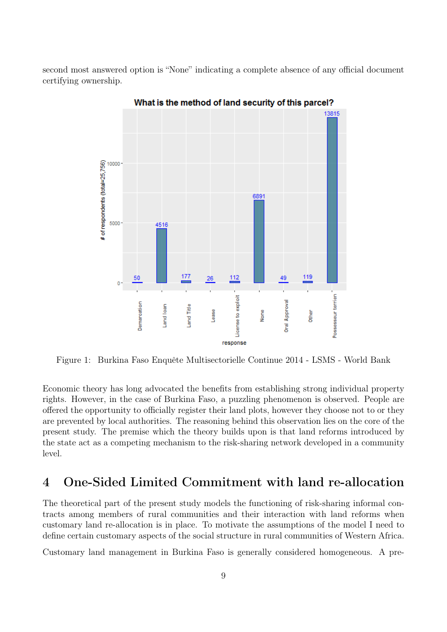<span id="page-8-1"></span>second most answered option is "None" indicating a complete absence of any official document certifying ownership.



What is the method of land security of this parcel?

Figure 1: Burkina Faso Enquête Multisectorielle Continue 2014 - LSMS - World Bank

Economic theory has long advocated the benefits from establishing strong individual property rights. However, in the case of Burkina Faso, a puzzling phenomenon is observed. People are offered the opportunity to officially register their land plots, however they choose not to or they are prevented by local authorities. The reasoning behind this observation lies on the core of the present study. The premise which the theory builds upon is that land reforms introduced by the state act as a competing mechanism to the risk-sharing network developed in a community level.

## <span id="page-8-0"></span>4 One-Sided Limited Commitment with land re-allocation

The theoretical part of the present study models the functioning of risk-sharing informal contracts among members of rural communities and their interaction with land reforms when customary land re-allocation is in place. To motivate the assumptions of the model I need to define certain customary aspects of the social structure in rural communities of Western Africa.

Customary land management in Burkina Faso is generally considered homogeneous. A pre-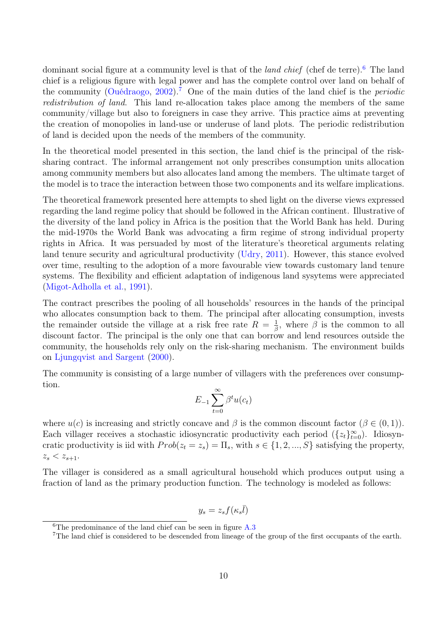dominant social figure at a community level is that of the *land chief* (chef de terre).<sup>[6](#page-9-0)</sup> The land chief is a religious figure with legal power and has the complete control over land on behalf of the community [\(Ouédraogo,](#page-26-11) [2002\)](#page-26-11).<sup>[7](#page-9-1)</sup> One of the main duties of the land chief is the *periodic* redistribution of land. This land re-allocation takes place among the members of the same community/village but also to foreigners in case they arrive. This practice aims at preventing the creation of monopolies in land-use or underuse of land plots. The periodic redistribution of land is decided upon the needs of the members of the community.

In the theoretical model presented in this section, the land chief is the principal of the risksharing contract. The informal arrangement not only prescribes consumption units allocation among community members but also allocates land among the members. The ultimate target of the model is to trace the interaction between those two components and its welfare implications.

The theoretical framework presented here attempts to shed light on the diverse views expressed regarding the land regime policy that should be followed in the African continent. Illustrative of the diversity of the land policy in Africa is the position that the World Bank has held. During the mid-1970s the World Bank was advocating a firm regime of strong individual property rights in Africa. It was persuaded by most of the literature's theoretical arguments relating land tenure security and agricultural productivity [\(Udry,](#page-27-5) [2011\)](#page-27-5). However, this stance evolved over time, resulting to the adoption of a more favourable view towards customary land tenure systems. The flexibility and efficient adaptation of indigenous land sysytems were appreciated [\(Migot-Adholla et al.,](#page-26-15) [1991\)](#page-26-15).

The contract prescribes the pooling of all households' resources in the hands of the principal who allocates consumption back to them. The principal after allocating consumption, invests the remainder outside the village at a risk free rate  $R = \frac{1}{6}$  $\frac{1}{\beta}$ , where  $\beta$  is the common to all discount factor. The principal is the only one that can borrow and lend resources outside the community, the households rely only on the risk-sharing mechanism. The environment builds on [Ljungqvist and Sargent](#page-26-16) [\(2000\)](#page-26-16).

The community is consisting of a large number of villagers with the preferences over consumption.

$$
E_{-1} \sum_{t=0}^{\infty} \beta^t u(c_t)
$$

where  $u(c)$  is increasing and strictly concave and  $\beta$  is the common discount factor  $(\beta \in (0,1))$ . Each villager receives a stochastic idiosyncratic productivity each period  $(\{z_t\}_{t=0}^{\infty})$ . Idiosyncratic productivity is iid with  $Prob(z_t = z_s) = \Pi_s$ , with  $s \in \{1, 2, ..., S\}$  satisfying the property,  $z_s < z_{s+1}.$ 

The villager is considered as a small agricultural household which produces output using a fraction of land as the primary production function. The technology is modeled as follows:

$$
y_s = z_s f(\kappa_s \bar{l})
$$

<span id="page-9-0"></span><sup>&</sup>lt;sup>6</sup>The predominance of the land chief can be seen in figure  $A.3$ 

<span id="page-9-1"></span><sup>7</sup>The land chief is considered to be descended from lineage of the group of the first occupants of the earth.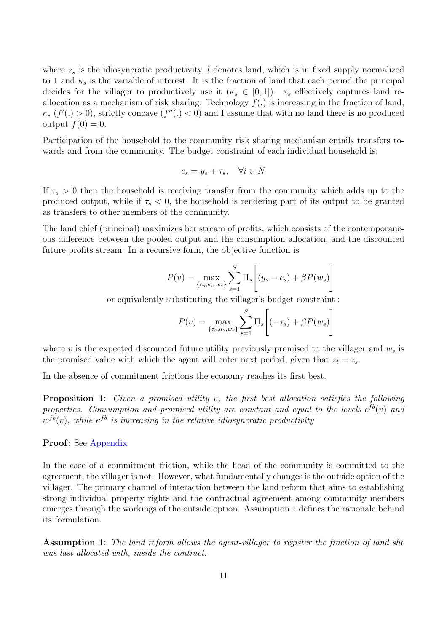where  $z_s$  is the idiosyncratic productivity,  $\overline{l}$  denotes land, which is in fixed supply normalized to 1 and  $\kappa_s$  is the variable of interest. It is the fraction of land that each period the principal decides for the villager to productively use it  $(\kappa_s \in [0,1])$ .  $\kappa_s$  effectively captures land reallocation as a mechanism of risk sharing. Technology  $f(.)$  is increasing in the fraction of land,  $\kappa_s$   $(f'(\cdot) > 0)$ , strictly concave  $(f''(\cdot) < 0)$  and I assume that with no land there is no produced output  $f(0) = 0$ .

Participation of the household to the community risk sharing mechanism entails transfers towards and from the community. The budget constraint of each individual household is:

$$
c_s = y_s + \tau_s, \quad \forall i \in N
$$

If  $\tau_s > 0$  then the household is receiving transfer from the community which adds up to the produced output, while if  $\tau_s < 0$ , the household is rendering part of its output to be granted as transfers to other members of the community.

The land chief (principal) maximizes her stream of profits, which consists of the contemporaneous difference between the pooled output and the consumption allocation, and the discounted future profits stream. In a recursive form, the objective function is

$$
P(v) = \max_{\{c_s, \kappa_s, w_s\}} \sum_{s=1}^{S} \Pi_s \left[ (y_s - c_s) + \beta P(w_s) \right]
$$

or equivalently substituting the villager's budget constraint :

$$
P(v) = \max_{\{\tau_s, \kappa_s, w_s\}} \sum_{s=1}^{S} \Pi_s \left[ (-\tau_s) + \beta P(w_s) \right]
$$

where v is the expected discounted future utility previously promised to the villager and  $w_s$  is the promised value with which the agent will enter next period, given that  $z_t = z_s$ .

In the absence of commitment frictions the economy reaches its first best.

<span id="page-10-1"></span>Proposition 1: Given a promised utility v, the first best allocation satisfies the following properties. Consumption and promised utility are constant and equal to the levels  $c^{fb}(v)$  and  $w^{fb}(v)$ , while  $\kappa^{fb}$  is increasing in the relative idiosyncratic productivity

#### Proof: See [Appendix](#page-28-0)

In the case of a commitment friction, while the head of the community is committed to the agreement, the villager is not. However, what fundamentally changes is the outside option of the villager. The primary channel of interaction between the land reform that aims to establishing strong individual property rights and the contractual agreement among community members emerges through the workings of the outside option. Assumption 1 defines the rationale behind its formulation.

<span id="page-10-0"></span>Assumption 1: The land reform allows the agent-villager to register the fraction of land she was last allocated with, inside the contract.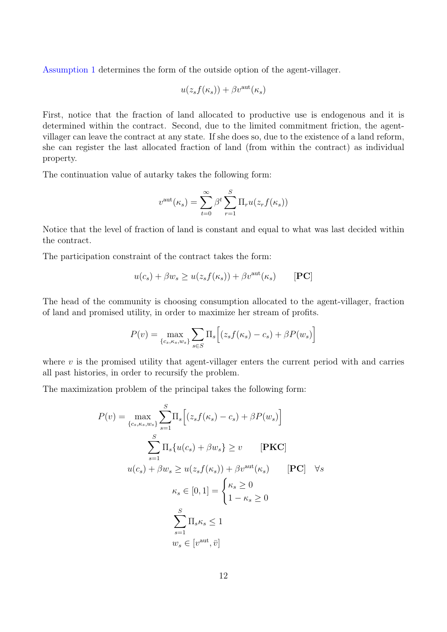[Assumption 1](#page-10-0) determines the form of the outside option of the agent-villager.

$$
u(z_s f(\kappa_s)) + \beta v^{\text{aut}}(\kappa_s)
$$

First, notice that the fraction of land allocated to productive use is endogenous and it is determined within the contract. Second, due to the limited commitment friction, the agentvillager can leave the contract at any state. If she does so, due to the existence of a land reform, she can register the last allocated fraction of land (from within the contract) as individual property.

The continuation value of autarky takes the following form:

$$
v^{\text{aut}}(\kappa_s) = \sum_{t=0}^{\infty} \beta^t \sum_{r=1}^{S} \Pi_r u(z_r f(\kappa_s))
$$

Notice that the level of fraction of land is constant and equal to what was last decided within the contract.

The participation constraint of the contract takes the form:

$$
u(c_s) + \beta w_s \ge u(z_s f(\kappa_s)) + \beta v^{\text{aut}}(\kappa_s) \qquad [\text{PC}]
$$

The head of the community is choosing consumption allocated to the agent-villager, fraction of land and promised utility, in order to maximize her stream of profits.

$$
P(v) = \max_{\{c_s, \kappa_s, w_s\}} \sum_{s \in S} \Pi_s \Big[ (z_s f(\kappa_s) - c_s) + \beta P(w_s) \Big]
$$

where  $v$  is the promised utility that agent-villager enters the current period with and carries all past histories, in order to recursify the problem.

The maximization problem of the principal takes the following form:

$$
P(v) = \max_{\{c_s, \kappa_s, w_s\}} \sum_{s=1}^{S} \Pi_s \Big[ (z_s f(\kappa_s) - c_s) + \beta P(w_s) \Big]
$$
  

$$
\sum_{s=1}^{S} \Pi_s \{ u(c_s) + \beta w_s \} \ge v \qquad [\textbf{PKC}]
$$
  

$$
u(c_s) + \beta w_s \ge u(z_s f(\kappa_s)) + \beta v^{\text{aut}}(\kappa_s) \qquad [\textbf{PC}] \quad \forall s
$$
  

$$
\kappa_s \in [0, 1] = \begin{cases} \kappa_s \ge 0 \\ 1 - \kappa_s \ge 0 \end{cases}
$$
  

$$
\sum_{s=1}^{S} \Pi_s \kappa_s \le 1
$$
  

$$
w_s \in [v^{\text{aut}}, \bar{v}]
$$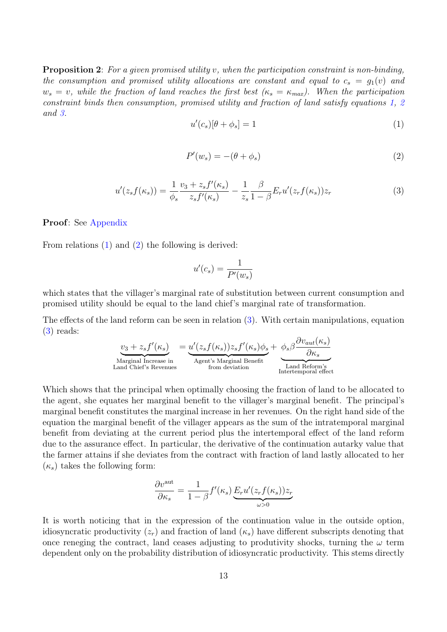<span id="page-12-3"></span>**Proposition 2:** For a given promised utility v, when the participation constraint is non-binding, the consumption and promised utility allocations are constant and equal to  $c_s = g_1(v)$  and  $w_s = v$ , while the fraction of land reaches the first best  $(\kappa_s = \kappa_{max})$ . When the participation constraint binds then consumption, promised utility and fraction of land satisfy equations [1,](#page-12-0) [2](#page-12-1) and [3.](#page-12-2)

<span id="page-12-0"></span>
$$
u'(c_s)[\theta + \phi_s] = 1 \tag{1}
$$

<span id="page-12-1"></span>
$$
P'(w_s) = -(\theta + \phi_s) \tag{2}
$$

<span id="page-12-2"></span>
$$
u'(z_s f(\kappa_s)) = \frac{1}{\phi_s} \frac{v_3 + z_s f'(\kappa_s)}{z_s f'(\kappa_s)} - \frac{1}{z_s} \frac{\beta}{1 - \beta} E_r u'(z_r f(\kappa_s)) z_r \tag{3}
$$

#### Proof: See [Appendix](#page-29-0)

From relations [\(1\)](#page-12-0) and [\(2\)](#page-12-1) the following is derived:

$$
u'(c_s) = \frac{1}{P'(w_s)}
$$

which states that the villager's marginal rate of substitution between current consumption and promised utility should be equal to the land chief's marginal rate of transformation.

The effects of the land reform can be seen in relation [\(3\)](#page-12-2). With certain manipulations, equation [\(3\)](#page-12-2) reads:

$$
\underbrace{v_3 + z_s f'(\kappa_s)}_{\text{Marginal Increase in}} = \underbrace{u'(z_s f(\kappa_s))z_s f'(\kappa_s)\phi_s}_{\text{Agent's Marginal Benefit}} + \underbrace{\phi_s \beta \frac{\partial v_{aut}(\kappa_s)}{\partial \kappa_s}}_{\text{Land Cheirm'sIntertemporal effect}}
$$

Which shows that the principal when optimally choosing the fraction of land to be allocated to the agent, she equates her marginal benefit to the villager's marginal benefit. The principal's marginal benefit constitutes the marginal increase in her revenues. On the right hand side of the equation the marginal benefit of the villager appears as the sum of the intratemporal marginal benefit from deviating at the current period plus the intertemporal effect of the land reform due to the assurance effect. In particular, the derivative of the continuation autarky value that the farmer attains if she deviates from the contract with fraction of land lastly allocated to her  $(\kappa_s)$  takes the following form:

$$
\frac{\partial v^{\text{aut}}}{\partial \kappa_s} = \frac{1}{1-\beta} f'(\kappa_s) \underbrace{E_r u'(z_r f(\kappa_s)) z_r}_{\omega > 0}
$$

It is worth noticing that in the expression of the continuation value in the outside option, idiosyncratic productivity  $(z_r)$  and fraction of land  $(\kappa_s)$  have different subscripts denoting that once reneging the contract, land ceases adjusting to produtivity shocks, turning the  $\omega$  term dependent only on the probability distribution of idiosyncratic productivity. This stems directly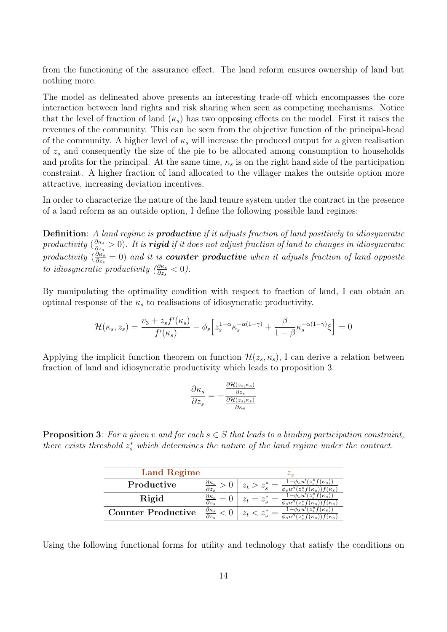from the functioning of the assurance effect. The land reform ensures ownership of land but nothing more.

The model as delineated above presents an interesting trade-off which encompasses the core interaction between land rights and risk sharing when seen as competing mechanisms. Notice that the level of fraction of land  $(\kappa_s)$  has two opposing effects on the model. First it raises the revenues of the community. This can be seen from the objective function of the principal-head of the community. A higher level of  $\kappa_s$  will increase the produced output for a given realisation of  $z<sub>s</sub>$  and consequently the size of the pie to be allocated among consumption to households and profits for the principal. At the same time,  $\kappa_s$  is on the right hand side of the participation constraint. A higher fraction of land allocated to the villager makes the outside option more attractive, increasing deviation incentives.

In order to characterize the nature of the land tenure system under the contract in the presence of a land reform as an outside option, I define the following possible land regimes:

**Definition:** A land regime is **productive** if it adjusts fraction of land positively to idiosyncratic productivity  $\left(\frac{\partial \kappa_s}{\partial z}\right)$  $\frac{\partial \kappa_s}{\partial z_s}>0).$  It is **rigid** if it does not adjust fraction of land to changes in idiosyncratic productivity  $\left(\frac{\partial \kappa_s}{\partial z}\right)$  $\frac{\partial \kappa_s}{\partial z_s}=0)$  and it is **counter productive** when it adjusts fraction of land opposite to idiosyncratic productivity  $(\frac{\partial \kappa_s}{\partial z_s} < 0)$ .

By manipulating the optimality condition with respect to fraction of land, I can obtain an optimal response of the  $\kappa_s$  to realisations of idiosyncratic productivity.

$$
\mathcal{H}(\kappa_s, z_s) = \frac{v_3 + z_s f'(\kappa_s)}{f'(\kappa_s)} - \phi_s \Big[ z_s^{1-\alpha} \kappa_s^{-\alpha(1-\gamma)} + \frac{\beta}{1-\beta} \kappa_s^{-\alpha(1-\gamma)} \xi \Big] = 0
$$

Applying the implicit function theorem on function  $\mathcal{H}(z_s, \kappa_s)$ , I can derive a relation between fraction of land and idiosyncratic productivity which leads to proposition 3.

$$
\frac{\partial \kappa_s}{\partial z_s} = -\frac{\frac{\partial \mathcal{H}(z_s, \kappa_s)}{\partial z_s}}{\frac{\partial \mathcal{H}(z_s, \kappa_s)}{\partial \kappa_s}}
$$

<span id="page-13-0"></span>**Proposition 3:** For a given v and for each  $s \in S$  that leads to a binding participation constraint, there exists threshold  $z_s^*$  which determines the nature of the land regime under the contract.

| <b>Land Regime</b>        |                                       | $\omega_{S}$  |
|---------------------------|---------------------------------------|---------------|
| Productive                |                                       |               |
| Rigid                     |                                       | $\varphi_s u$ |
| <b>Counter Productive</b> | $\partial \kappa_s$<br>$\partial z_s$ |               |

Using the following functional forms for utility and technology that satisfy the conditions on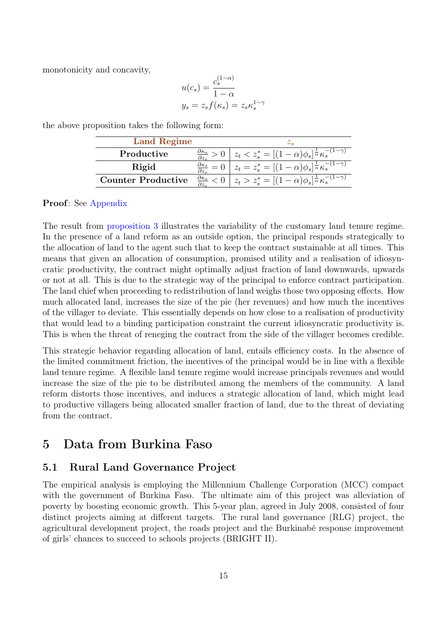monotonicity and concavity,

$$
u(c_s) = \frac{c_s^{(1-\alpha)}}{1-\alpha}
$$
  

$$
y_s = z_s f(\kappa_s) = z_s \kappa_s^{1-\gamma}
$$

| <b>Land Regime</b>        |                                 | $\omega$ e                                                                       |
|---------------------------|---------------------------------|----------------------------------------------------------------------------------|
| Productive                |                                 | $z_t < z_s^* = [(1-\alpha)\phi_s]^{\frac{1}{\alpha}} \kappa_s^{-(1-\gamma)}$     |
| Rigid                     |                                 | $z_t = z_s^* = [(1 - \alpha)\phi_s]^{\frac{1}{\alpha}} \kappa_s^{-(1 - \gamma)}$ |
| <b>Counter Productive</b> | $\underline{\partial \kappa_s}$ | $z_t > z_s^* = [(1-\alpha)\phi_s]^{\frac{1}{\alpha}} \kappa_s^{-(1-\gamma)}$     |

the above proposition takes the following form:

#### Proof: See [Appendix](#page-31-0)

The result from [proposition 3](#page-13-0) illustrates the variability of the customary land tenure regime. In the presence of a land reform as an outside option, the principal responds strategically to the allocation of land to the agent such that to keep the contract sustainable at all times. This means that given an allocation of consumption, promised utility and a realisation of idiosyncratic productivity, the contract might optimally adjust fraction of land downwards, upwards or not at all. This is due to the strategic way of the principal to enforce contract participation. The land chief when proceeding to redistribution of land weighs those two opposing effects. How much allocated land, increases the size of the pie (her revenues) and how much the incentives of the villager to deviate. This essentially depends on how close to a realisation of productivity that would lead to a binding participation constraint the current idiosyncratic productivity is. This is when the threat of reneging the contract from the side of the villager becomes credible.

This strategic behavior regarding allocation of land, entails efficiency costs. In the absence of the limited commitment friction, the incentives of the principal would be in line with a flexible land tenure regime. A flexible land tenure regime would increase principals revenues and would increase the size of the pie to be distributed among the members of the community. A land reform distorts those incentives, and induces a strategic allocation of land, which might lead to productive villagers being allocated smaller fraction of land, due to the threat of deviating from the contract.

## <span id="page-14-0"></span>5 Data from Burkina Faso

### 5.1 Rural Land Governance Project

The empirical analysis is employing the Millennium Challenge Corporation (MCC) compact with the government of Burkina Faso. The ultimate aim of this project was alleviation of poverty by boosting economic growth. This 5-year plan, agreed in July 2008, consisted of four distinct projects aiming at different targets. The rural land governance (RLG) project, the agricultural development project, the roads project and the Burkinabé response improvement of girls' chances to succeed to schools projects (BRIGHT II).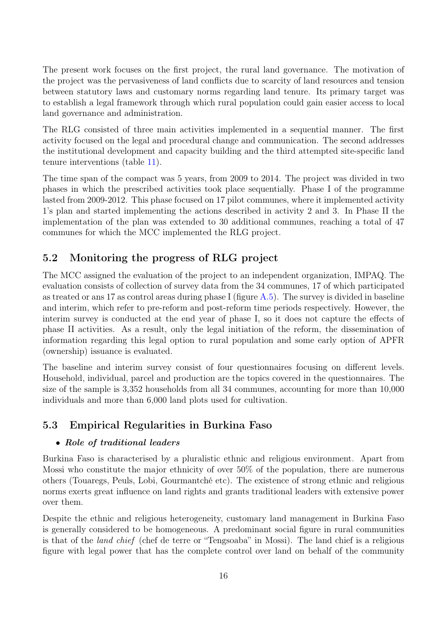The present work focuses on the first project, the rural land governance. The motivation of the project was the pervasiveness of land conflicts due to scarcity of land resources and tension between statutory laws and customary norms regarding land tenure. Its primary target was to establish a legal framework through which rural population could gain easier access to local land governance and administration.

The RLG consisted of three main activities implemented in a sequential manner. The first activity focused on the legal and procedural change and communication. The second addresses the institutional development and capacity building and the third attempted site-specific land tenure interventions (table [11\)](#page-56-0).

The time span of the compact was 5 years, from 2009 to 2014. The project was divided in two phases in which the prescribed activities took place sequentially. Phase I of the programme lasted from 2009-2012. This phase focused on 17 pilot communes, where it implemented activity 1's plan and started implementing the actions described in activity 2 and 3. In Phase II the implementation of the plan was extended to 30 additional communes, reaching a total of 47 communes for which the MCC implemented the RLG project.

### 5.2 Monitoring the progress of RLG project

The MCC assigned the evaluation of the project to an independent organization, IMPAQ. The evaluation consists of collection of survey data from the 34 communes, 17 of which participated as treated or ans 17 as control areas during phase I (figure [A.5\)](#page-49-0). The survey is divided in baseline and interim, which refer to pre-reform and post-reform time periods respectively. However, the interim survey is conducted at the end year of phase I, so it does not capture the effects of phase II activities. As a result, only the legal initiation of the reform, the dissemination of information regarding this legal option to rural population and some early option of APFR (ownership) issuance is evaluated.

The baseline and interim survey consist of four questionnaires focusing on different levels. Household, individual, parcel and production are the topics covered in the questionnaires. The size of the sample is 3,352 households from all 34 communes, accounting for more than 10,000 individuals and more than 6,000 land plots used for cultivation.

### 5.3 Empirical Regularities in Burkina Faso

### • Role of traditional leaders

Burkina Faso is characterised by a pluralistic ethnic and religious environment. Apart from Mossi who constitute the major ethnicity of over 50% of the population, there are numerous others (Touaregs, Peuls, Lobi, Gourmantché etc). The existence of strong ethnic and religious norms exerts great influence on land rights and grants traditional leaders with extensive power over them.

Despite the ethnic and religious heterogeneity, customary land management in Burkina Faso is generally considered to be homogeneous. A predominant social figure in rural communities is that of the land chief (chef de terre or "Tengsoaba" in Mossi). The land chief is a religious figure with legal power that has the complete control over land on behalf of the community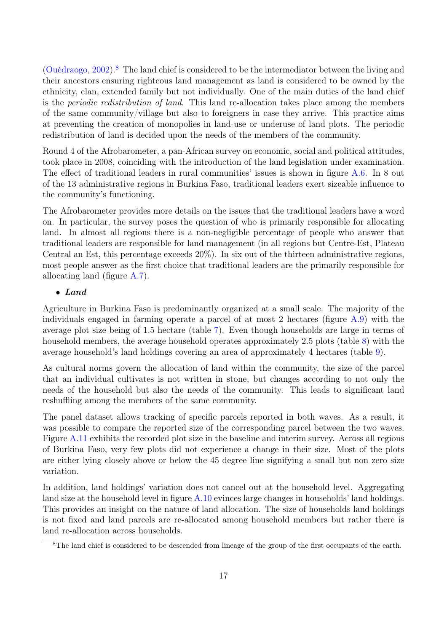[\(Ouédraogo,](#page-26-11)  $2002$ ).<sup>[8](#page-16-0)</sup> The land chief is considered to be the intermediator between the living and their ancestors ensuring righteous land management as land is considered to be owned by the ethnicity, clan, extended family but not individually. One of the main duties of the land chief is the periodic redistribution of land. This land re-allocation takes place among the members of the same community/village but also to foreigners in case they arrive. This practice aims at preventing the creation of monopolies in land-use or underuse of land plots. The periodic redistribution of land is decided upon the needs of the members of the community.

Round 4 of the Afrobarometer, a pan-African survey on economic, social and political attitudes, took place in 2008, coinciding with the introduction of the land legislation under examination. The effect of traditional leaders in rural communities' issues is shown in figure [A.6.](#page-50-0) In 8 out of the 13 administrative regions in Burkina Faso, traditional leaders exert sizeable influence to the community's functioning.

The Afrobarometer provides more details on the issues that the traditional leaders have a word on. In particular, the survey poses the question of who is primarily responsible for allocating land. In almost all regions there is a non-negligible percentage of people who answer that traditional leaders are responsible for land management (in all regions but Centre-Est, Plateau Central an Est, this percentage exceeds 20%). In six out of the thirteen administrative regions, most people answer as the first choice that traditional leaders are the primarily responsible for allocating land (figure [A.7\)](#page-50-1).

### • Land

Agriculture in Burkina Faso is predominantly organized at a small scale. The majority of the individuals engaged in farming operate a parcel of at most 2 hectares (figure [A.9\)](#page-51-0) with the average plot size being of 1.5 hectare (table [7\)](#page-54-0). Even though households are large in terms of household members, the average household operates approximately 2.5 plots (table [8\)](#page-54-1) with the average household's land holdings covering an area of approximately 4 hectares (table [9\)](#page-55-0).

As cultural norms govern the allocation of land within the community, the size of the parcel that an individual cultivates is not written in stone, but changes according to not only the needs of the household but also the needs of the community. This leads to significant land reshuffling among the members of the same community.

The panel dataset allows tracking of specific parcels reported in both waves. As a result, it was possible to compare the reported size of the corresponding parcel between the two waves. Figure [A.11](#page-52-0) exhibits the recorded plot size in the baseline and interim survey. Across all regions of Burkina Faso, very few plots did not experience a change in their size. Most of the plots are either lying closely above or below the 45 degree line signifying a small but non zero size variation.

In addition, land holdings' variation does not cancel out at the household level. Aggregating land size at the household level in figure [A.10](#page-52-1) evinces large changes in households' land holdings. This provides an insight on the nature of land allocation. The size of households land holdings is not fixed and land parcels are re-allocated among household members but rather there is land re-allocation across households.

<span id="page-16-0"></span><sup>&</sup>lt;sup>8</sup>The land chief is considered to be descended from lineage of the group of the first occupants of the earth.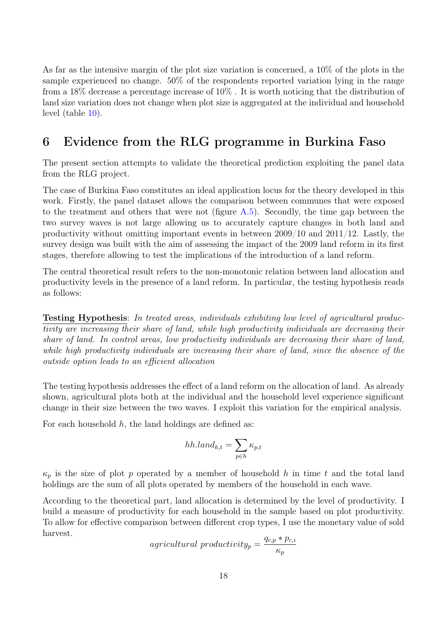As far as the intensive margin of the plot size variation is concerned, a 10% of the plots in the sample experienced no change. 50% of the respondents reported variation lying in the range from a 18% decrease a percentage increase of 10% . It is worth noticing that the distribution of land size variation does not change when plot size is aggregated at the individual and household level (table [10\)](#page-55-1).

## <span id="page-17-0"></span>6 Evidence from the RLG programme in Burkina Faso

The present section attempts to validate the theoretical prediction exploiting the panel data from the RLG project.

The case of Burkina Faso constitutes an ideal application locus for the theory developed in this work. Firstly, the panel dataset allows the comparison between communes that were exposed to the treatment and others that were not (figure  $A.5$ ). Secondly, the time gap between the two survey waves is not large allowing us to accurately capture changes in both land and productivity without omitting important events in between 2009/10 and 2011/12. Lastly, the survey design was built with the aim of assessing the impact of the 2009 land reform in its first stages, therefore allowing to test the implications of the introduction of a land reform.

The central theoretical result refers to the non-monotonic relation between land allocation and productivity levels in the presence of a land reform. In particular, the testing hypothesis reads as follows:

Testing Hypothesis: In treated areas, individuals exhibiting low level of agricultural productivity are increasing their share of land, while high productivity individuals are decreasing their share of land. In control areas, low productivity individuals are decreasing their share of land, while high productivity individuals are increasing their share of land, since the absence of the outside option leads to an efficient allocation

The testing hypothesis addresses the effect of a land reform on the allocation of land. As already shown, agricultural plots both at the individual and the household level experience significant change in their size between the two waves. I exploit this variation for the empirical analysis.

For each household  $h$ , the land holdings are defined as:

$$
hh.land_{h,t} = \sum_{p \in h} \kappa_{p,t}
$$

 $\kappa_p$  is the size of plot p operated by a member of household h in time t and the total land holdings are the sum of all plots operated by members of the household in each wave.

According to the theoretical part, land allocation is determined by the level of productivity. I build a measure of productivity for each household in the sample based on plot productivity. To allow for effective comparison between different crop types, I use the monetary value of sold harvest.

$$
agricultural\ productivity_p = \frac{q_{c,p} * p_{c,i}}{\kappa_p}
$$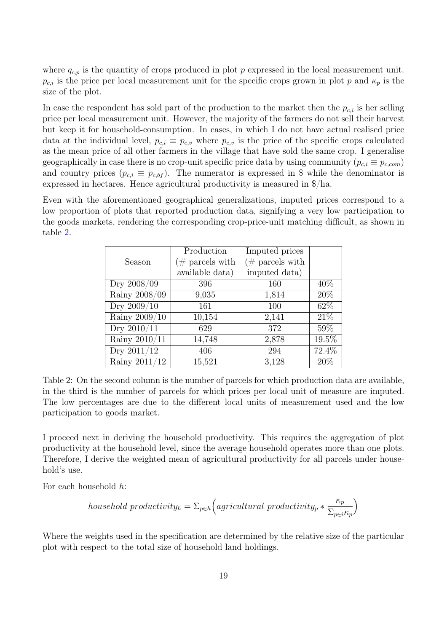where  $q_{c,p}$  is the quantity of crops produced in plot p expressed in the local measurement unit.  $p_{c,i}$  is the price per local measurement unit for the specific crops grown in plot p and  $\kappa_p$  is the size of the plot.

In case the respondent has sold part of the production to the market then the  $p_{c,i}$  is her selling price per local measurement unit. However, the majority of the farmers do not sell their harvest but keep it for household-consumption. In cases, in which I do not have actual realised price data at the individual level,  $p_{c,i} \equiv p_{c,v}$  where  $p_{c,v}$  is the price of the specific crops calculated as the mean price of all other farmers in the village that have sold the same crop. I generalise geographically in case there is no crop-unit specific price data by using community ( $p_{c,i} \equiv p_{c,com}$ ) and country prices  $(p_{c,i} \equiv p_{c,bf})$ . The numerator is expressed in \$ while the denominator is expressed in hectares. Hence agricultural productivity is measured in \$/ha.

<span id="page-18-0"></span>Even with the aforementioned geographical generalizations, imputed prices correspond to a low proportion of plots that reported production data, signifying a very low participation to the goods markets, rendering the corresponding crop-price-unit matching difficult, as shown in table [2.](#page-18-0)

|                                   | Production          | Imputed prices     |        |
|-----------------------------------|---------------------|--------------------|--------|
| Season                            | ( $\#$ parcels with | $(\#$ parcels with |        |
|                                   | available data)     | imputed data)      |        |
| Dry 2008/09                       | 396                 | 160                | 40\%   |
| Rainy 2008/09                     | 9,035               | 1,814              | 20%    |
| Dry 2009/10                       | 161                 | 100                | 62\%   |
| Rainy 2009/10                     | 10,154              | 2,141              | 21\%   |
| Dry 2010/11                       | 629                 | 372                | $59\%$ |
| Rainy $2010/11$                   | 14,748              | 2,878              | 19.5%  |
| $\overline{\mathrm{Dry}}$ 2011/12 | 406                 | 294                | 72.4%  |
| Rainy 2011/12                     | 15,521              | 3,128              | 20%    |

Table 2: On the second column is the number of parcels for which production data are available, in the third is the number of parcels for which prices per local unit of measure are imputed. The low percentages are due to the different local units of measurement used and the low participation to goods market.

I proceed next in deriving the household productivity. This requires the aggregation of plot productivity at the household level, since the average household operates more than one plots. Therefore, I derive the weighted mean of agricultural productivity for all parcels under household's use.

For each household h:

household productivity<sub>h</sub> = 
$$
\sum_{p \in h} (agricultural\ productivity_p * \frac{\kappa_p}{\sum_{p \in i} \kappa_p})
$$

Where the weights used in the specification are determined by the relative size of the particular plot with respect to the total size of household land holdings.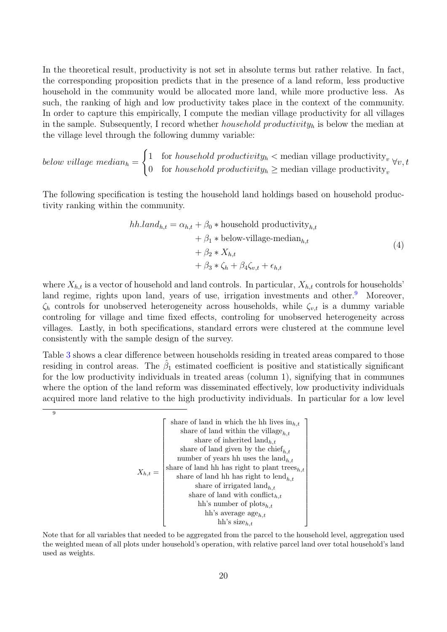In the theoretical result, productivity is not set in absolute terms but rather relative. In fact, the corresponding proposition predicts that in the presence of a land reform, less productive household in the community would be allocated more land, while more productive less. As such, the ranking of high and low productivity takes place in the context of the community. In order to capture this empirically, I compute the median village productivity for all villages in the sample. Subsequently, I record whether *household productivity*<sub>h</sub> is below the median at the village level through the following dummy variable:

below village median $_h =$  $\int 1$  for *household productivity<sub>n</sub>* < median village productivity<sub>*v*</sub> 0 for household productivity<sub>h</sub>  $\geq$  median village productivity<sub>i</sub>  $\forall v, t$ 

The following specification is testing the household land holdings based on household productivity ranking within the community.

<span id="page-19-1"></span>
$$
hh.land_{h,t} = \alpha_{h,t} + \beta_0 * \text{household productivity}_{h,t} + \beta_1 * \text{below-village-median}_{h,t} + \beta_2 * X_{h,t} + \beta_3 * \zeta_h + \beta_4 \zeta_{v,t} + \epsilon_{h,t}
$$
\n(4)

where  $X_{h,t}$  is a vector of household and land controls. In particular,  $X_{h,t}$  controls for households' land regime, rights upon land, years of use, irrigation investments and other.<sup>[9](#page-19-0)</sup> Moreover,  $\zeta_h$  controls for unobserved heterogeneity across households, while  $\zeta_{v,t}$  is a dummy variable controling for village and time fixed effects, controling for unobserved heterogeneity across villages. Lastly, in both specifications, standard errors were clustered at the commune level consistently with the sample design of the survey.

Table [3](#page-20-0) shows a clear difference between households residing in treated areas compared to those residing in control areas. The  $\hat{\beta}_1$  estimated coefficient is positive and statistically significant for the low productivity individuals in treated areas (column 1), signifying that in communes where the option of the land reform was disseminated effectively, low productivity individuals acquired more land relative to the high productivity individuals. In particular for a low level

<span id="page-19-0"></span>9

$$
X_{h,t} = \left[ \begin{array}{c} \text{share of land in which the hh lives in}_{h,t} \\ \text{share of land within the village}_{h,t} \\ \text{share of inherited land}_{h,t} \\ \text{share of land given by the chief}_{h,t} \\ \text{share of land hh has right to plant trees}_{h,t} \\ \text{share of land hh has right to lend}_{h,t} \\ \text{share of in the image of a data with conflict}_{h,t} \\ \text{share of land with conflict}_{h,t} \\ \text{hh's number of plots}_{h,t} \\ \text{hh's average age}_{h,t} \\ \text{hh's size}_{h,t} \end{array} \right]
$$

Note that for all variables that needed to be aggregated from the parcel to the household level, aggregation used the weighted mean of all plots under household's operation, with relative parcel land over total household's land used as weights.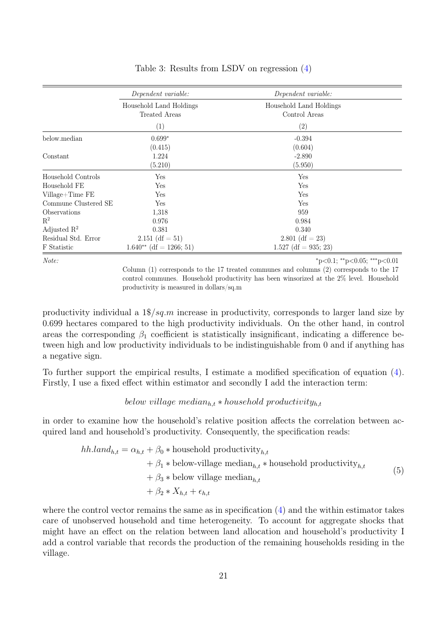<span id="page-20-0"></span>

|                      | Dependent variable:                      | Dependent variable:                      |
|----------------------|------------------------------------------|------------------------------------------|
|                      | Household Land Holdings<br>Treated Areas | Household Land Holdings<br>Control Areas |
|                      | (1)                                      | $\left( 2\right)$                        |
| below.median         | $0.699*$                                 | $-0.394$                                 |
|                      | (0.415)                                  | (0.604)                                  |
| Constant             | 1.224                                    | $-2.890$                                 |
|                      | (5.210)                                  | (5.950)                                  |
| Household Controls   | Yes                                      | Yes                                      |
| Household FE         | Yes                                      | Yes                                      |
| Village+Time FE      | Yes                                      | Yes                                      |
| Commune Clustered SE | Yes                                      | Yes                                      |
| Observations         | 1,318                                    | 959                                      |
| $\mathbf{R}^2$       | 0.976                                    | 0.984                                    |
| Adjusted $R^2$       | 0.381                                    | 0.340                                    |
| Residual Std. Error  | 2.151 (df = 51)                          | $2.801$ (df = 23)                        |
| F Statistic          | $1.640**$ (df = 1266; 51)                | $1.527$ (df = 935; 23)                   |

#### Table 3: Results from LSDV on regression [\(4\)](#page-19-1)

 $Note:$   $*_{p<0.1}$ ;  $*_{p<0.05}$ ;  $*_{p<0.01}$ 

Column (1) corresponds to the 17 treated communes and columns (2) corresponds to the 17 control communes. Household productivity has been winsorized at the 2% level. Household productivity is measured in dollars/sq.m

productivity individual a  $1\frac{2}{g}m$  increase in productivity, corresponds to larger land size by 0.699 hectares compared to the high productivity individuals. On the other hand, in control areas the corresponding  $\beta_1$  coefficient is statistically insignificant, indicating a difference between high and low productivity individuals to be indistinguishable from 0 and if anything has a negative sign.

To further support the empirical results, I estimate a modified specification of equation [\(4\)](#page-19-1). Firstly, I use a fixed effect within estimator and secondly I add the interaction term:

### below village median $h_{h,t} *$  household productivity $h_{h,t}$

in order to examine how the household's relative position affects the correlation between acquired land and household's productivity. Consequently, the specification reads:

<span id="page-20-1"></span>
$$
hh.land_{h,t} = \alpha_{h,t} + \beta_0 * \text{household productivity}_{h,t}
$$
  
+  $\beta_1 * \text{below-village median}_{h,t} * \text{household productivity}_{h,t}$   
+  $\beta_3 * \text{below village median}_{h,t}$   
+  $\beta_2 * X_{h,t} + \epsilon_{h,t}$  (5)

where the control vector remains the same as in specification  $(4)$  and the within estimator takes care of unobserved household and time heterogeneity. To account for aggregate shocks that might have an effect on the relation between land allocation and household's productivity I add a control variable that records the production of the remaining households residing in the village.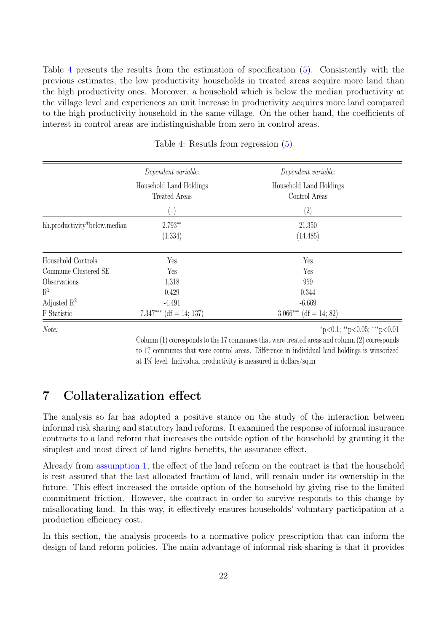Table [4](#page-21-1) presents the results from the estimation of specification [\(5\)](#page-20-1). Consistently with the previous estimates, the low productivity households in treated areas acquire more land than the high productivity ones. Moreover, a household which is below the median productivity at the village level and experiences an unit increase in productivity acquires more land compared to the high productivity household in the same village. On the other hand, the coefficients of interest in control areas are indistinguishable from zero in control areas.

<span id="page-21-1"></span>

|                              | Dependent variable:                             | Dependent variable:                      |  |
|------------------------------|-------------------------------------------------|------------------------------------------|--|
|                              | Household Land Holdings<br><b>Treated Areas</b> | Household Land Holdings<br>Control Areas |  |
|                              | (1)                                             | (2)                                      |  |
| hh.productivity*below.median | 2.793**<br>(1.334)                              | 21.350<br>(14.485)                       |  |
| Household Controls           | Yes                                             | Yes                                      |  |
| Commune Clustered SE         | Yes                                             | Yes                                      |  |
| Observations                 | 1,318                                           | 959                                      |  |
| $R^2$                        | 0.429                                           | 0.344                                    |  |
| Adjusted $\mathbb{R}^2$      | $-4.491$                                        | $-6.669$                                 |  |
| F Statistic                  | $(df = 14; 137)$<br>7.347***                    | $3.066***$ (df = 14; 82)                 |  |

Table 4: Resutls from regression [\(5\)](#page-20-1)

Note: \*\*\*p<0.05; \*\*\*p<0.05; \*\*\*p<0.05}

Column (1) corresponds to the 17 communes that were treated areas and column (2) corresponds to 17 communes that were control areas. Difference in individual land holdings is winsorized at 1% level. Individual productivity is measured in dollars/sq.m

# <span id="page-21-0"></span>7 Collateralization effect

The analysis so far has adopted a positive stance on the study of the interaction between informal risk sharing and statutory land reforms. It examined the response of informal insurance contracts to a land reform that increases the outside option of the household by granting it the simplest and most direct of land rights benefits, the assurance effect.

Already from [assumption 1,](#page-10-0) the effect of the land reform on the contract is that the household is rest assured that the last allocated fraction of land, will remain under its ownership in the future. This effect increased the outside option of the household by giving rise to the limited commitment friction. However, the contract in order to survive responds to this change by misallocating land. In this way, it effectively ensures households' voluntary participation at a production efficiency cost.

In this section, the analysis proceeds to a normative policy prescription that can inform the design of land reform policies. The main advantage of informal risk-sharing is that it provides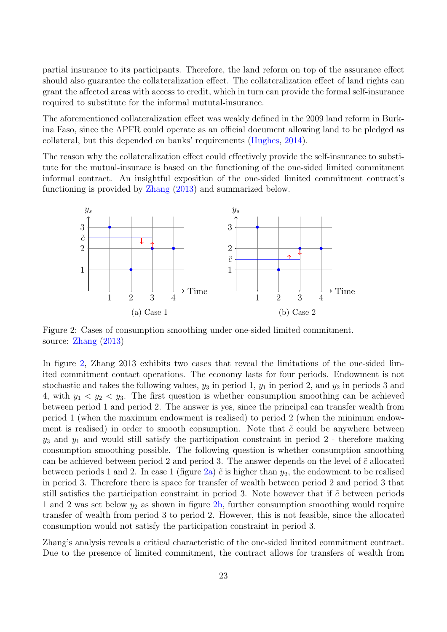partial insurance to its participants. Therefore, the land reform on top of the assurance effect should also guarantee the collateralization effect. The collateralization effect of land rights can grant the affected areas with access to credit, which in turn can provide the formal self-insurance required to substitute for the informal mututal-insurance.

The aforementioned collateralization effect was weakly defined in the 2009 land reform in Burkina Faso, since the APFR could operate as an official document allowing land to be pledged as collateral, but this depended on banks' requirements [\(Hughes,](#page-26-12) [2014\)](#page-26-12).

The reason why the collateralization effect could effectively provide the self-insurance to substitute for the mutual-insurace is based on the functioning of the one-sided limited commitment informal contract. An insightful exposition of the one-sided limited commitment contract's functioning is provided by [Zhang](#page-27-6) [\(2013\)](#page-27-6) and summarized below.

<span id="page-22-0"></span>

Figure 2: Cases of consumption smoothing under one-sided limited commitment. source: [Zhang](#page-27-6) [\(2013\)](#page-27-6)

In figure [2,](#page-22-0) Zhang 2013 exhibits two cases that reveal the limitations of the one-sided limited commitment contact operations. The economy lasts for four periods. Endowment is not stochastic and takes the following values,  $y_3$  in period 1,  $y_1$  in period 2, and  $y_2$  in periods 3 and 4, with  $y_1 \, \langle y_2 \rangle \, \langle y_3 \rangle$ . The first question is whether consumption smoothing can be achieved between period 1 and period 2. The answer is yes, since the principal can transfer wealth from period 1 (when the maximum endowment is realised) to period 2 (when the minimum endowment is realised) in order to smooth consumption. Note that  $\tilde{c}$  could be anywhere between  $y_3$  and  $y_1$  and would still satisfy the participation constraint in period 2 - therefore making consumption smoothing possible. The following question is whether consumption smoothing can be achieved between period 2 and period 3. The answer depends on the level of  $\tilde{c}$  allocated between periods 1 and 2. In case 1 (figure [2a\)](#page-22-0)  $\tilde{c}$  is higher than  $y_2$ , the endowment to be realised in period 3. Therefore there is space for transfer of wealth between period 2 and period 3 that still satisfies the participation constraint in period 3. Note however that if  $\tilde{c}$  between periods 1 and 2 was set below  $y_2$  as shown in figure [2b,](#page-22-0) further consumption smoothing would require transfer of wealth from period 3 to period 2. However, this is not feasible, since the allocated consumption would not satisfy the participation constraint in period 3.

Zhang's analysis reveals a critical characteristic of the one-sided limited commitment contract. Due to the presence of limited commitment, the contract allows for transfers of wealth from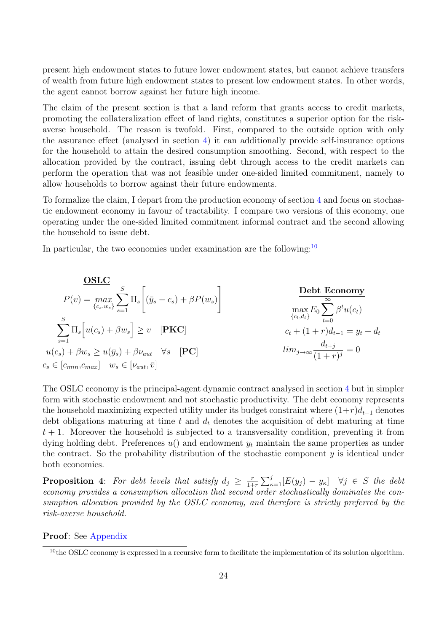present high endowment states to future lower endowment states, but cannot achieve transfers of wealth from future high endowment states to present low endowment states. In other words, the agent cannot borrow against her future high income.

The claim of the present section is that a land reform that grants access to credit markets, promoting the collateralization effect of land rights, constitutes a superior option for the riskaverse household. The reason is twofold. First, compared to the outside option with only the assurance effect (analysed in section [4\)](#page-8-0) it can additionally provide self-insurance options for the household to attain the desired consumption smoothing. Second, with respect to the allocation provided by the contract, issuing debt through access to the credit markets can perform the operation that was not feasible under one-sided limited commitment, namely to allow households to borrow against their future endowments.

To formalize the claim, I depart from the production economy of section [4](#page-8-0) and focus on stochastic endowment economy in favour of tractability. I compare two versions of this economy, one operating under the one-sided limited commitment informal contract and the second allowing the household to issue debt.

In particular, the two economies under examination are the following:  $10$ 

| $OSLC$                                                                                            |                                                   |
|---------------------------------------------------------------------------------------------------|---------------------------------------------------|
| $P(v) = \max_{\{c_s, w_s\}} \sum_{s=1}^{S} \Pi_s \left[ (\bar{y}_s - c_s) + \beta P(w_s) \right]$ | $Debt Economy$                                    |
| $\sum_{s=1}^{S} \Pi_s \left[ u(c_s) + \beta w_s \right] \geq v \quad [\textbf{PKC}]$              | $c_t + (1+r)d_{t-1} = y_t + d_t$                  |
| $u(c_s) + \beta w_s \geq u(\bar{y}_s) + \beta v_{aut} \quad \forall s \quad [\textbf{PC}]$        | $\lim_{j \to \infty} \frac{d_{t+j}}{(1+r)^j} = 0$ |
| $c_s \in [c_{min}, c_{max}] \quad w_s \in [\nu_{aut}, \bar{v}]$                                   |                                                   |

The OSLC economy is the principal-agent dynamic contract analysed in section [4](#page-8-0) but in simpler form with stochastic endowment and not stochastic productivity. The debt economy represents the household maximizing expected utility under its budget constraint where  $(1+r)d_{t-1}$  denotes debt obligations maturing at time t and  $d_t$  denotes the acquisition of debt maturing at time  $t + 1$ . Moreover the household is subjected to a transversality condition, preventing it from dying holding debt. Preferences  $u()$  and endowment  $y_t$  maintain the same properties as under the contract. So the probability distribution of the stochastic component  $y$  is identical under both economies.

**Proposition** 4: For debt levels that satisfy  $d_j \geq \frac{r}{1+r}$  $\frac{r}{1+r} \sum_{\kappa=1}^j [E(y_j) - y_{\kappa}]$   $\forall j \in S$  the debt economy provides a consumption allocation that second order stochastically dominates the consumption allocation provided by the OSLC economy, and therefore is strictly preferred by the risk-averse household.

#### Proof: See [Appendix](#page-29-0)

<span id="page-23-0"></span> $10$ the OSLC economy is expressed in a recursive form to facilitate the implementation of its solution algorithm.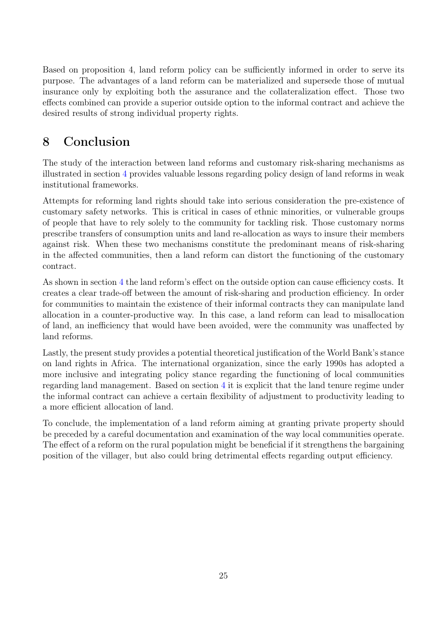Based on proposition 4, land reform policy can be sufficiently informed in order to serve its purpose. The advantages of a land reform can be materialized and supersede those of mutual insurance only by exploiting both the assurance and the collateralization effect. Those two effects combined can provide a superior outside option to the informal contract and achieve the desired results of strong individual property rights.

# <span id="page-24-0"></span>8 Conclusion

The study of the interaction between land reforms and customary risk-sharing mechanisms as illustrated in section [4](#page-8-0) provides valuable lessons regarding policy design of land reforms in weak institutional frameworks.

Attempts for reforming land rights should take into serious consideration the pre-existence of customary safety networks. This is critical in cases of ethnic minorities, or vulnerable groups of people that have to rely solely to the community for tackling risk. Those customary norms prescribe transfers of consumption units and land re-allocation as ways to insure their members against risk. When these two mechanisms constitute the predominant means of risk-sharing in the affected communities, then a land reform can distort the functioning of the customary contract.

As shown in section [4](#page-8-0) the land reform's effect on the outside option can cause efficiency costs. It creates a clear trade-off between the amount of risk-sharing and production efficiency. In order for communities to maintain the existence of their informal contracts they can manipulate land allocation in a counter-productive way. In this case, a land reform can lead to misallocation of land, an inefficiency that would have been avoided, were the community was unaffected by land reforms.

Lastly, the present study provides a potential theoretical justification of the World Bank's stance on land rights in Africa. The international organization, since the early 1990s has adopted a more inclusive and integrating policy stance regarding the functioning of local communities regarding land management. Based on section [4](#page-8-0) it is explicit that the land tenure regime under the informal contract can achieve a certain flexibility of adjustment to productivity leading to a more efficient allocation of land.

To conclude, the implementation of a land reform aiming at granting private property should be preceded by a careful documentation and examination of the way local communities operate. The effect of a reform on the rural population might be beneficial if it strengthens the bargaining position of the villager, but also could bring detrimental effects regarding output efficiency.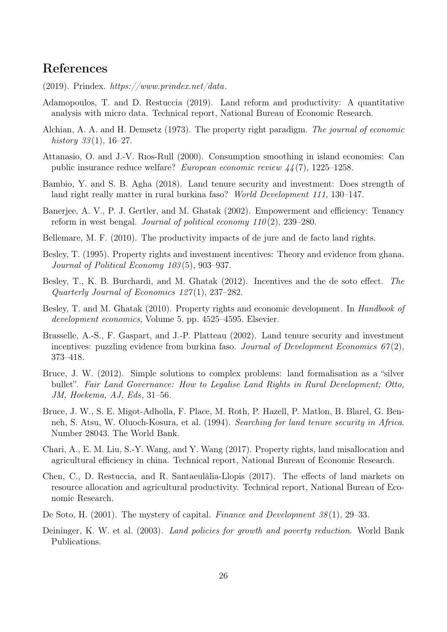## <span id="page-25-16"></span>References

- (2019). Prindex.  $https://www.prinder.net/data.$
- <span id="page-25-13"></span>Adamopoulos, T. and D. Restuccia (2019). Land reform and productivity: A quantitative analysis with micro data. Technical report, National Bureau of Economic Research.
- <span id="page-25-2"></span>Alchian, A. A. and H. Demsetz (1973). The property right paradigm. The journal of economic history  $33(1)$ , 16–27.
- <span id="page-25-15"></span>Attanasio, O. and J.-V. Rıos-Rull (2000). Consumption smoothing in island economies: Can public insurance reduce welfare? European economic review 44 (7), 1225–1258.
- <span id="page-25-0"></span>Bambio, Y. and S. B. Agha (2018). Land tenure security and investment: Does strength of land right really matter in rural burkina faso? World Development 111, 130–147.
- <span id="page-25-12"></span>Banerjee, A. V., P. J. Gertler, and M. Ghatak (2002). Empowerment and efficiency: Tenancy reform in west bengal. Journal of political economy  $110(2)$ , 239–280.
- <span id="page-25-6"></span>Bellemare, M. F. (2010). The productivity impacts of de jure and de facto land rights.
- <span id="page-25-9"></span>Besley, T. (1995). Property rights and investment incentives: Theory and evidence from ghana. Journal of Political Economy 103 (5), 903–937.
- <span id="page-25-7"></span>Besley, T., K. B. Burchardi, and M. Ghatak (2012). Incentives and the de soto effect. The Quarterly Journal of Economics 127 (1), 237–282.
- <span id="page-25-5"></span>Besley, T. and M. Ghatak (2010). Property rights and economic development. In Handbook of development economics, Volume 5, pp. 4525–4595. Elsevier.
- <span id="page-25-1"></span>Brasselle, A.-S., F. Gaspart, and J.-P. Platteau (2002). Land tenure security and investment incentives: puzzling evidence from burkina faso. Journal of Development Economics  $67(2)$ , 373–418.
- <span id="page-25-10"></span>Bruce, J. W. (2012). Simple solutions to complex problems: land formalisation as a "silver bullet". Fair Land Governance: How to Legalise Land Rights in Rural Development; Otto, JM, Hoekema, AJ, Eds, 31–56.
- <span id="page-25-11"></span>Bruce, J. W., S. E. Migot-Adholla, F. Place, M. Roth, P. Hazell, P. Matlon, B. Blarel, G. Benneh, S. Atsu, W. Oluoch-Kosura, et al. (1994). Searching for land tenure security in Africa. Number 28043. The World Bank.
- <span id="page-25-8"></span>Chari, A., E. M. Liu, S.-Y. Wang, and Y. Wang (2017). Property rights, land misallocation and agricultural efficiency in china. Technical report, National Bureau of Economic Research.
- <span id="page-25-14"></span>Chen, C., D. Restuccia, and R. Santaeulàlia-Llopis (2017). The effects of land markets on resource allocation and agricultural productivity. Technical report, National Bureau of Economic Research.
- <span id="page-25-3"></span>De Soto, H. (2001). The mystery of capital. Finance and Development 38 (1), 29–33.
- <span id="page-25-4"></span>Deininger, K. W. et al. (2003). Land policies for growth and poverty reduction. World Bank Publications.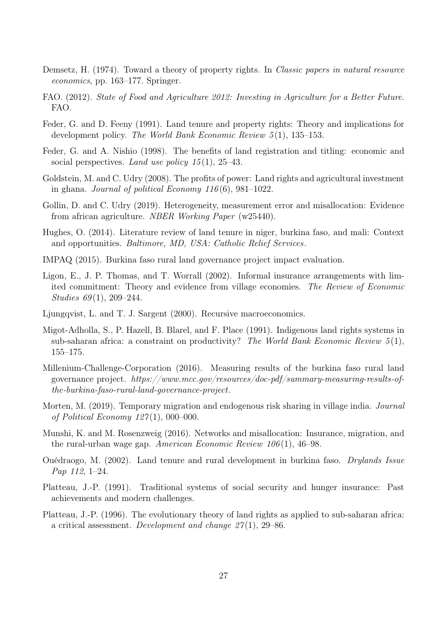- <span id="page-26-6"></span>Demsetz, H. (1974). Toward a theory of property rights. In *Classic papers in natural resource* economics, pp. 163–177. Springer.
- <span id="page-26-0"></span>FAO. (2012). State of Food and Agriculture 2012: Investing in Agriculture for a Better Future. FAO.
- <span id="page-26-7"></span>Feder, G. and D. Feeny (1991). Land tenure and property rights: Theory and implications for development policy. The World Bank Economic Review  $5(1)$ , 135–153.
- <span id="page-26-2"></span>Feder, G. and A. Nishio (1998). The benefits of land registration and titling: economic and social perspectives. Land use policy  $15(1)$ ,  $25-43$ .
- <span id="page-26-5"></span>Goldstein, M. and C. Udry (2008). The profits of power: Land rights and agricultural investment in ghana. Journal of political Economy  $116(6)$ , 981–1022.
- <span id="page-26-3"></span>Gollin, D. and C. Udry (2019). Heterogeneity, measurement error and misallocation: Evidence from african agriculture. NBER Working Paper (w25440).
- <span id="page-26-12"></span>Hughes, O. (2014). Literature review of land tenure in niger, burkina faso, and mali: Context and opportunities. Baltimore, MD, USA: Catholic Relief Services.
- <span id="page-26-13"></span>IMPAQ (2015). Burkina faso rural land governance project impact evaluation.
- <span id="page-26-8"></span>Ligon, E., J. P. Thomas, and T. Worrall (2002). Informal insurance arrangements with limited commitment: Theory and evidence from village economies. The Review of Economic Studies  $69(1)$ , 209-244.
- <span id="page-26-16"></span>Ljungqvist, L. and T. J. Sargent (2000). Recursive macroeconomics.
- <span id="page-26-15"></span>Migot-Adholla, S., P. Hazell, B. Blarel, and F. Place (1991). Indigenous land rights systems in sub-saharan africa: a constraint on productivity? The World Bank Economic Review  $5(1)$ , 155–175.
- <span id="page-26-14"></span>Millenium-Challenge-Corporation (2016). Measuring results of the burkina faso rural land governance project. https://www.mcc.gov/resources/doc-pdf/summary-measuring-results-ofthe-burkina-faso-rural-land-governance-project.
- <span id="page-26-9"></span>Morten, M. (2019). Temporary migration and endogenous risk sharing in village india. Journal of Political Economy  $127(1)$ , 000-000.
- <span id="page-26-10"></span>Munshi, K. and M. Rosenzweig (2016). Networks and misallocation: Insurance, migration, and the rural-urban wage gap. American Economic Review 106 (1), 46–98.
- <span id="page-26-11"></span>Ouédraogo, M. (2002). Land tenure and rural development in burkina faso. Drylands Issue Pap 112, 1–24.
- <span id="page-26-1"></span>Platteau, J.-P. (1991). Traditional systems of social security and hunger insurance: Past achievements and modern challenges.
- <span id="page-26-4"></span>Platteau, J.-P. (1996). The evolutionary theory of land rights as applied to sub-saharan africa: a critical assessment. Development and change  $27(1)$ , 29–86.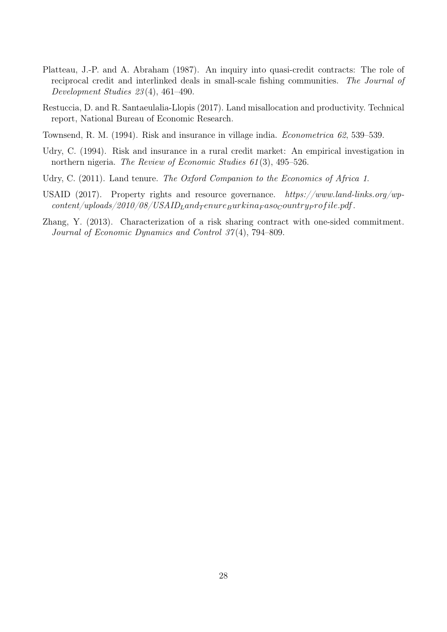- <span id="page-27-3"></span>Platteau, J.-P. and A. Abraham (1987). An inquiry into quasi-credit contracts: The role of reciprocal credit and interlinked deals in small-scale fishing communities. The Journal of Development Studies 23 (4), 461–490.
- <span id="page-27-1"></span>Restuccia, D. and R. Santaeulalia-Llopis (2017). Land misallocation and productivity. Technical report, National Bureau of Economic Research.
- <span id="page-27-2"></span>Townsend, R. M. (1994). Risk and insurance in village india. Econometrica 62, 539–539.
- <span id="page-27-4"></span>Udry, C. (1994). Risk and insurance in a rural credit market: An empirical investigation in northern nigeria. *The Review of Economic Studies 61*(3), 495–526.
- <span id="page-27-5"></span>Udry, C. (2011). Land tenure. The Oxford Companion to the Economics of Africa 1.
- <span id="page-27-0"></span>USAID (2017). Property rights and resource governance. https://www.land-links.org/wp $content-uploads/2010/08/USAID_L and \n<sub>T</sub> enure<sub>B</sub>urkina<sub>F</sub>aso<sub>C</sub>ountry<sub>P</sub> rof ile.pdf.$
- <span id="page-27-6"></span>Zhang, Y. (2013). Characterization of a risk sharing contract with one-sided commitment. Journal of Economic Dynamics and Control 37 (4), 794–809.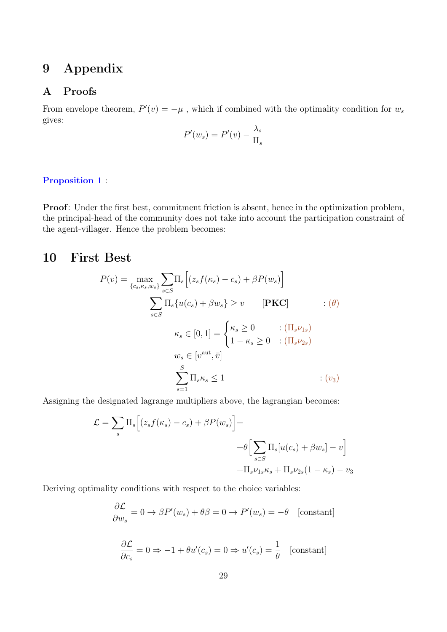# 9 Appendix

### A Proofs

From envelope theorem,  $P'(v) = -\mu$ , which if combined with the optimality condition for  $w_s$ gives:

$$
P'(w_s) = P'(v) - \frac{\lambda_s}{\Pi_s}
$$

### <span id="page-28-0"></span>[Proposition 1](#page-10-1) :

Proof: Under the first best, commitment friction is absent, hence in the optimization problem, the principal-head of the community does not take into account the participation constraint of the agent-villager. Hence the problem becomes:

## 10 First Best

$$
P(v) = \max_{\{c_s, \kappa_s, w_s\}} \sum_{s \in S} \Pi_s \Big[ (z_s f(\kappa_s) - c_s) + \beta P(w_s) \Big]
$$
  

$$
\sum_{s \in S} \Pi_s \{ u(c_s) + \beta w_s \} \ge v \qquad [\textbf{PKC}] \qquad : (\theta)
$$
  

$$
\kappa_s \in [0, 1] = \begin{cases} \kappa_s \ge 0 & : (\Pi_s \nu_{1s}) \\ 1 - \kappa_s \ge 0 & : (\Pi_s \nu_{2s}) \end{cases}
$$
  

$$
w_s \in [v^{\text{aut}}, \bar{v}]
$$
  

$$
\sum_{s=1}^S \Pi_s \kappa_s \le 1 \qquad : (v_3)
$$

Assigning the designated lagrange multipliers above, the lagrangian becomes:

$$
\mathcal{L} = \sum_{s} \Pi_{s} \Big[ (z_{s} f(\kappa_{s}) - c_{s}) + \beta P(w_{s}) \Big] +
$$
  
+ 
$$
\theta \Big[ \sum_{s \in S} \Pi_{s} [u(c_{s}) + \beta w_{s}] - v \Big] + \Pi_{s} \nu_{1s} \kappa_{s} + \Pi_{s} \nu_{2s} (1 - \kappa_{s}) - v_{3}
$$

Deriving optimality conditions with respect to the choice variables:

$$
\frac{\partial \mathcal{L}}{\partial w_s} = 0 \to \beta P'(w_s) + \theta \beta = 0 \to P'(w_s) = -\theta \quad \text{[constant]}
$$

$$
\frac{\partial \mathcal{L}}{\partial c_s} = 0 \Rightarrow -1 + \theta u'(c_s) = 0 \Rightarrow u'(c_s) = \frac{1}{\theta} \quad \text{[constant]}
$$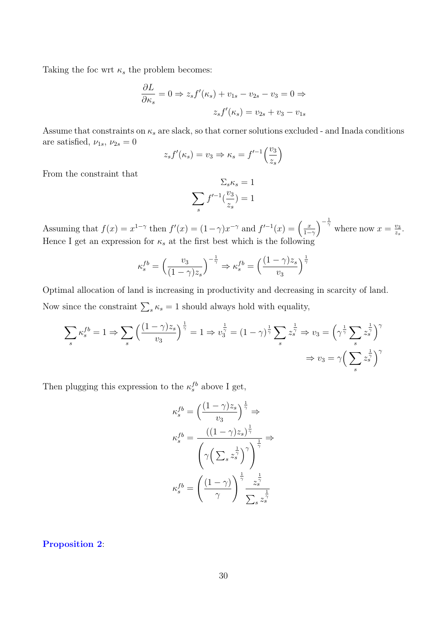Taking the foc wrt  $\kappa_s$  the problem becomes:

$$
\frac{\partial L}{\partial \kappa_s} = 0 \Rightarrow z_s f'(\kappa_s) + v_{1s} - v_{2s} - v_3 = 0 \Rightarrow
$$

$$
z_s f'(\kappa_s) = v_{2s} + v_3 - v_{1s}
$$

Assume that constraints on  $\kappa_s$  are slack, so that corner solutions excluded - and Inada conditions are satisfied,  $\nu_{1s}$ ,  $\nu_{2s} = 0$ 

$$
z_s f'(\kappa_s) = v_3 \Rightarrow \kappa_s = f'^{-1}\left(\frac{v_3}{z_s}\right)
$$

From the constraint that

$$
\sum_{s} \kappa_s = 1
$$

$$
\sum_{s} f'^{-1}(\frac{v_3}{z_s}) = 1
$$

Assuming that  $f(x) = x^{1-\gamma}$  then  $f'(x) = (1-\gamma)x^{-\gamma}$  and  $f'^{-1}(x) = \left(\frac{x}{1-\gamma}\right)^{\frac{1}{\gamma}}$  $\left(\frac{x}{1-\gamma}\right)^{-\frac{1}{\gamma}}$  where now  $x=\frac{v_3}{z_s}$  $\frac{v_3}{z_s}$ . Hence I get an expression for  $\kappa_s$  at the first best which is the following

$$
\kappa_s^{fb} = \left(\frac{v_3}{(1-\gamma)z_s}\right)^{-\frac{1}{\gamma}} \Rightarrow \kappa_s^{fb} = \left(\frac{(1-\gamma)z_s}{v_3}\right)^{\frac{1}{\gamma}}
$$

Optimal allocation of land is increasing in productivity and decreasing in scarcity of land. Now since the constraint  $\sum_{s} \kappa_s = 1$  should always hold with equality,

$$
\sum_{s} \kappa_s^{fb} = 1 \Rightarrow \sum_{s} \left( \frac{(1-\gamma)z_s}{v_3} \right)^{\frac{1}{\gamma}} = 1 \Rightarrow v_3^{\frac{1}{\gamma}} = (1-\gamma)^{\frac{1}{\gamma}} \sum_{s} z_s^{\frac{1}{\gamma}} \Rightarrow v_3 = \left( \gamma^{\frac{1}{\gamma}} \sum_{s} z_s^{\frac{1}{\gamma}} \right)^{\gamma}
$$

$$
\Rightarrow v_3 = \gamma \left( \sum_{s} z_s^{\frac{1}{\gamma}} \right)^{\gamma}
$$

Then plugging this expression to the  $\kappa_s^{fb}$  above I get,

$$
\begin{split} \kappa_s^{fb} &= \left(\frac{(1-\gamma)z_s}{v_3}\right)^{\frac{1}{\gamma}} \Rightarrow \\ \kappa_s^{fb} &= \frac{((1-\gamma)z_s)^{\frac{1}{\gamma}}}{\left(\gamma\left(\sum_s z_s^{\frac{1}{\gamma}}\right)^{\gamma}\right)^{\frac{1}{\gamma}}} \\ \kappa_s^{fb} &= \left(\frac{(1-\gamma)}{\gamma}\right)^{\frac{1}{\gamma}} \frac{z_s^{\frac{1}{\gamma}}}{\sum_s z_s^{\frac{1}{\gamma}}} \end{split}
$$

<span id="page-29-0"></span>[Proposition 2](#page-12-3):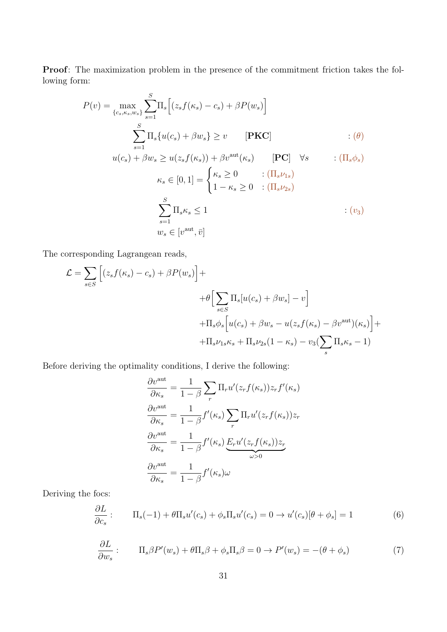Proof: The maximization problem in the presence of the commitment friction takes the following form:

$$
P(v) = \max_{\{c_s, \kappa_s, w_s\}} \sum_{s=1}^{S} \Pi_s \Big[ (z_s f(\kappa_s) - c_s) + \beta P(w_s) \Big]
$$
  

$$
\sum_{s=1}^{S} \Pi_s \{ u(c_s) + \beta w_s \} \ge v \qquad [\textbf{PKC}] \qquad \qquad : (\theta)
$$
  

$$
u(c_s) + \beta w_s \ge u(z_s f(\kappa_s)) + \beta v^{\text{aut}}(\kappa_s) \qquad [\textbf{PC}] \quad \forall s \qquad : (\Pi_s \phi_s)
$$
  

$$
\kappa_s \in [0, 1] = \begin{cases} \kappa_s \ge 0 & : (\Pi_s \nu_{1s}) \\ 1 - \kappa_s \ge 0 & : (\Pi_s \nu_{2s}) \end{cases}
$$
  

$$
\sum_{s=1}^{S} \Pi_s \kappa_s \le 1 \qquad \qquad : (v_3)
$$

The corresponding Lagrangean reads,

$$
\mathcal{L} = \sum_{s \in S} \left[ (z_s f(\kappa_s) - c_s) + \beta P(w_s) \right] +
$$
  
+ 
$$
\theta \left[ \sum_{s \in S} \Pi_s [u(c_s) + \beta w_s] - v \right]
$$
  
+ 
$$
\Pi_s \phi_s \left[ u(c_s) + \beta w_s - u(z_s f(\kappa_s) - \beta v^{\text{aut}})(\kappa_s) \right] +
$$
  
+ 
$$
\Pi_s \nu_{1s} \kappa_s + \Pi_s \nu_{2s} (1 - \kappa_s) - v_3 (\sum_s \Pi_s \kappa_s - 1)
$$

Before deriving the optimality conditions, I derive the following:

$$
\frac{\partial v^{\text{aut}}}{\partial \kappa_s} = \frac{1}{1 - \beta} \sum_r \Pi_r u'(z_r f(\kappa_s)) z_r f'(\kappa_s)
$$

$$
\frac{\partial v^{\text{aut}}}{\partial \kappa_s} = \frac{1}{1 - \beta} f'(\kappa_s) \sum_r \Pi_r u'(z_r f(\kappa_s)) z_r
$$

$$
\frac{\partial v^{\text{aut}}}{\partial \kappa_s} = \frac{1}{1 - \beta} f'(\kappa_s) \underbrace{E_r u'(z_r f(\kappa_s)) z_r}_{\omega > 0}
$$

$$
\frac{\partial v^{\text{aut}}}{\partial \kappa_s} = \frac{1}{1 - \beta} f'(\kappa_s) \omega
$$

Deriving the focs:

$$
\frac{\partial L}{\partial c_s} : \qquad \Pi_s(-1) + \theta \Pi_s u'(c_s) + \phi_s \Pi_s u'(c_s) = 0 \to u'(c_s)[\theta + \phi_s] = 1 \tag{6}
$$

$$
\frac{\partial L}{\partial w_s} : \qquad \Pi_s \beta P'(w_s) + \theta \Pi_s \beta + \phi_s \Pi_s \beta = 0 \to P'(w_s) = -(\theta + \phi_s)
$$
\n<sup>(7)</sup>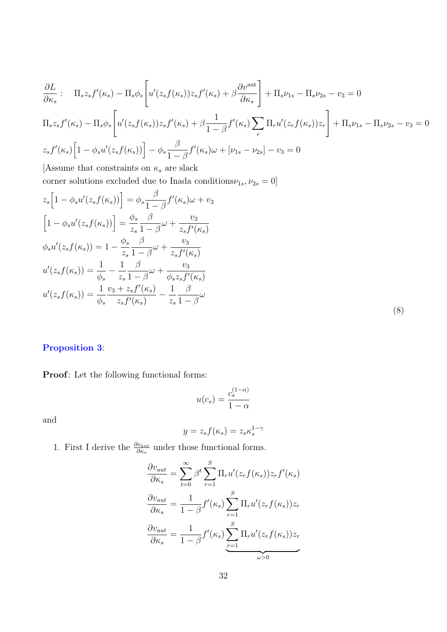$$
\frac{\partial L}{\partial \kappa_s}: \Pi_s z_s f'(\kappa_s) - \Pi_s \phi_s \left[ u'(z_s f(\kappa_s)) z_s f'(\kappa_s) + \beta \frac{\partial v^{\text{aut}}}{\partial \kappa_s} \right] + \Pi_s \nu_{1s} - \Pi_s \nu_{2s} - \nu_3 = 0
$$
\n
$$
\Pi_s z_s f'(\kappa_s) - \Pi_s \phi_s \left[ u'(z_s f(\kappa_s)) z_s f'(\kappa_s) + \beta \frac{1}{1 - \beta} f'(\kappa_s) \sum_r \Pi_r u'(z_r f(\kappa_s)) z_r \right] + \Pi_s \nu_{1s} - \Pi_s \nu_{2s} - \nu_3 = 0
$$
\n
$$
z_s f'(\kappa_s) \left[ 1 - \phi_s u'(z_s f(\kappa_s)) \right] - \phi_s \frac{\beta}{1 - \beta} f'(\kappa_s) \omega + [\nu_{1s} - \nu_{2s}] - \nu_3 = 0
$$

[Assume that constraints on  $\kappa_s$  are slack corner solutions excluded due to Inada conditions  $\nu_{1s},\nu_{2s}=0]$ 

$$
z_s \left[ 1 - \phi_s u'(z_s f(\kappa_s)) \right] = \phi_s \frac{\beta}{1 - \beta} f'(\kappa_s) \omega + v_3
$$
  
\n
$$
\left[ 1 - \phi_s u'(z_s f(\kappa_s)) \right] = \frac{\phi_s}{z_s} \frac{\beta}{1 - \beta} \omega + \frac{v_3}{z_s f'(\kappa_s)}
$$
  
\n
$$
\phi_s u'(z_s f(\kappa_s)) = 1 - \frac{\phi_s}{z_s} \frac{\beta}{1 - \beta} \omega + \frac{v_3}{z_s f'(\kappa_s)}
$$
  
\n
$$
u'(z_s f(\kappa_s)) = \frac{1}{\phi_s} - \frac{1}{z_s} \frac{\beta}{1 - \beta} \omega + \frac{v_3}{\phi_s z_s f'(\kappa_s)}
$$
  
\n
$$
u'(z_s f(\kappa_s)) = \frac{1}{\phi_s} \frac{v_3 + z_s f'(\kappa_s)}{z_s f'(\kappa_s)} - \frac{1}{z_s} \frac{\beta}{1 - \beta} \omega
$$
\n(8)

### <span id="page-31-0"></span>[Proposition 3](#page-13-0):

Proof: Let the following functional forms:

$$
u(c_s) = \frac{c_s^{(1-\alpha)}}{1-\alpha}
$$

and

$$
y = z_s f(\kappa_s) = z_s \kappa_s^{1-\gamma}
$$

1. First I derive the  $\frac{\partial v_{aut}}{\partial \kappa_s}$  under those functional forms.

$$
\frac{\partial v_{aut}}{\partial \kappa_s} = \sum_{t=0}^{\infty} \beta^t \sum_{r=1}^S \Pi_r u'(z_r f(\kappa_s)) z_r f'(\kappa_s)
$$

$$
\frac{\partial v_{aut}}{\partial \kappa_s} = \frac{1}{1-\beta} f'(\kappa_s) \sum_{r=1}^S \Pi_r u'(z_r f(\kappa_s)) z_r
$$

$$
\frac{\partial v_{aut}}{\partial \kappa_s} = \frac{1}{1-\beta} f'(\kappa_s) \sum_{r=1}^S \Pi_r u'(z_r f(\kappa_s)) z_r
$$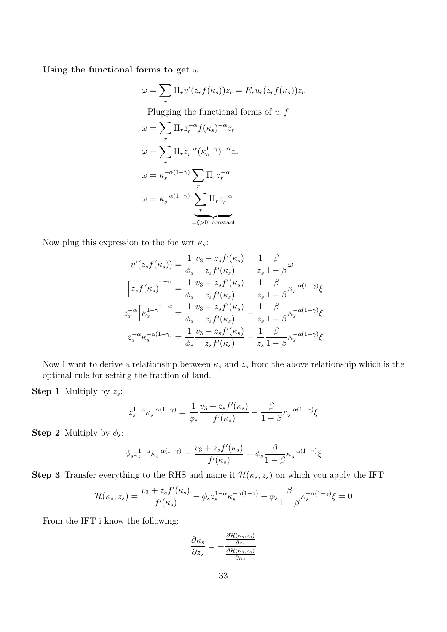Using the functional forms to get  $\omega$ 

$$
\omega = \sum_r \Pi_r u'(z_r f(\kappa_s)) z_r = E_r u_c(z_r f(\kappa_s)) z_r
$$

Plugging the functional forms of  $u, f$ 

$$
\omega = \sum_{r} \Pi_{r} z_{r}^{-\alpha} f(\kappa_{s})^{-\alpha} z_{r}
$$

$$
\omega = \sum_{r} \Pi_{r} z_{r}^{-\alpha} (\kappa_{s}^{1-\gamma})^{-\alpha} z_{r}
$$

$$
\omega = \kappa_{s}^{-\alpha(1-\gamma)} \sum_{r} \Pi_{r} z_{r}^{-\alpha}
$$

$$
\omega = \kappa_{s}^{-\alpha(1-\gamma)} \sum_{r} \Pi_{r} z_{r}^{-\alpha}
$$

$$
= \epsilon > 0: constant
$$

Now plug this expression to the foc wrt  $\kappa_s$ :

$$
u'(z_s f(\kappa_s)) = \frac{1}{\phi_s} \frac{v_3 + z_s f'(\kappa_s)}{z_s f'(\kappa_s)} - \frac{1}{z_s} \frac{\beta}{1 - \beta} \omega
$$
  

$$
\left[z_s f(\kappa_s)\right]^{-\alpha} = \frac{1}{\phi_s} \frac{v_3 + z_s f'(\kappa_s)}{z_s f'(\kappa_s)} - \frac{1}{z_s} \frac{\beta}{1 - \beta} \kappa_s^{-\alpha(1 - \gamma)} \xi
$$
  

$$
z_s^{-\alpha} \left[\kappa_s^{1 - \gamma}\right]^{-\alpha} = \frac{1}{\phi_s} \frac{v_3 + z_s f'(\kappa_s)}{z_s f'(\kappa_s)} - \frac{1}{z_s} \frac{\beta}{1 - \beta} \kappa_s^{-\alpha(1 - \gamma)} \xi
$$
  

$$
z_s^{-\alpha} \kappa_s^{-\alpha(1 - \gamma)} = \frac{1}{\phi_s} \frac{v_3 + z_s f'(\kappa_s)}{z_s f'(\kappa_s)} - \frac{1}{z_s} \frac{\beta}{1 - \beta} \kappa_s^{-\alpha(1 - \gamma)} \xi
$$

Now I want to derive a relationship between  $\kappa_s$  and  $z_s$  from the above relationship which is the optimal rule for setting the fraction of land.

**Step 1** Multiply by  $z_s$ :

$$
z_s^{1-\alpha} \kappa_s^{-\alpha(1-\gamma)} = \frac{1}{\phi_s} \frac{v_3 + z_s f'(\kappa_s)}{f'(\kappa_s)} - \frac{\beta}{1-\beta} \kappa_s^{-\alpha(1-\gamma)} \xi
$$

**Step 2** Multiply by  $\phi_s$ :

$$
\phi_s z_s^{1-\alpha} \kappa_s^{-\alpha(1-\gamma)} = \frac{v_3 + z_s f'(\kappa_s)}{f'(\kappa_s)} - \phi_s \frac{\beta}{1-\beta} \kappa_s^{-\alpha(1-\gamma)} \xi_s
$$

**Step 3** Transfer everything to the RHS and name it  $\mathcal{H}(\kappa_s, z_s)$  on which you apply the IFT

$$
\mathcal{H}(\kappa_s, z_s) = \frac{v_3 + z_s f'(\kappa_s)}{f'(\kappa_s)} - \phi_s z_s^{1-\alpha} \kappa_s^{-\alpha(1-\gamma)} - \phi_s \frac{\beta}{1-\beta} \kappa_s^{-\alpha(1-\gamma)} \xi = 0
$$

From the IFT i know the following:

$$
\frac{\partial \kappa_s}{\partial z_s} = -\frac{\frac{\partial \mathcal{H}(\kappa_s, z_s)}{\partial z_s}}{\frac{\partial \mathcal{H}(\kappa_s, z_s)}{\partial \kappa_s}}
$$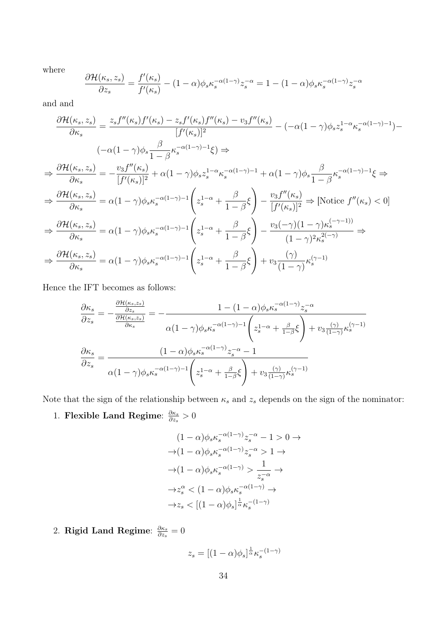where

$$
\frac{\partial \mathcal{H}(\kappa_s, z_s)}{\partial z_s} = \frac{f'(\kappa_s)}{f'(\kappa_s)} - (1 - \alpha)\phi_s \kappa_s^{-\alpha(1 - \gamma)} z_s^{-\alpha} = 1 - (1 - \alpha)\phi_s \kappa_s^{-\alpha(1 - \gamma)} z_s^{-\alpha}
$$

and and

$$
\frac{\partial \mathcal{H}(\kappa_{s}, z_{s})}{\partial \kappa_{s}} = \frac{z_{s} f''(\kappa_{s}) f'(\kappa_{s}) - z_{s} f'(\kappa_{s}) f''(\kappa_{s}) - v_{3} f''(\kappa_{s})}{[f'(\kappa_{s})]^{2}} - (-\alpha (1 - \gamma) \phi_{s} z_{s}^{1-\alpha} \kappa_{s}^{-(1-\gamma)-1}) - (-\alpha (1 - \gamma) \phi_{s} z_{s}^{1-\alpha} \kappa_{s}^{-(1-\gamma)-1} \xi) \Rightarrow
$$
\n
$$
\Rightarrow \frac{\partial \mathcal{H}(\kappa_{s}, z_{s})}{\partial \kappa_{s}} = -\frac{v_{3} f''(\kappa_{s})}{[f'(\kappa_{s})]^{2}} + \alpha (1 - \gamma) \phi_{s} z_{s}^{1-\alpha} \kappa_{s}^{-(1-\gamma)-1} + \alpha (1 - \gamma) \phi_{s} \frac{\beta}{1-\beta} \kappa_{s}^{-(1-\gamma)-1} \xi \Rightarrow
$$
\n
$$
\Rightarrow \frac{\partial \mathcal{H}(\kappa_{s}, z_{s})}{\partial \kappa_{s}} = \alpha (1 - \gamma) \phi_{s} \kappa_{s}^{-(1-\gamma)-1} \left( z_{s}^{1-\alpha} + \frac{\beta}{1-\beta} \xi \right) - \frac{v_{3} f''(\kappa_{s})}{[f'(\kappa_{s})]^{2}} \Rightarrow [\text{Notice } f''(\kappa_{s}) < 0]
$$
\n
$$
\Rightarrow \frac{\partial \mathcal{H}(\kappa_{s}, z_{s})}{\partial \kappa_{s}} = \alpha (1 - \gamma) \phi_{s} \kappa_{s}^{-(1-\gamma)-1} \left( z_{s}^{1-\alpha} + \frac{\beta}{1-\beta} \xi \right) - \frac{v_{3}(-\gamma)(1-\gamma) \kappa_{s}^{(-\gamma-1)}}{(1-\gamma)^{2} \kappa_{s}^{2(-\gamma)}} \Rightarrow
$$
\n
$$
\Rightarrow \frac{\partial \mathcal{H}(\kappa_{s}, z_{s})}{\partial \kappa_{s}} = \alpha (1 - \gamma) \phi_{s} \kappa_{s}^{-(1-\gamma)-1} \left( z_{s}^{1-\alpha} + \frac{\beta}{1-\beta} \xi \right) + v_{3} \frac{(\gamma)}{(1-\gamma)} \kappa_{s}^{(\gamma-1)}
$$

Hence the IFT becomes as follows:

$$
\frac{\partial \kappa_s}{\partial z_s} = -\frac{\frac{\partial \mathcal{H}(\kappa_{s,z_s})}{\partial z_s}}{\frac{\partial \mathcal{H}(\kappa_{s,z_s})}{\partial \kappa_s}} = -\frac{1 - (1 - \alpha)\phi_s \kappa_s^{-\alpha(1 - \gamma)} z_s^{-\alpha}}{\alpha(1 - \gamma)\phi_s \kappa_s^{-\alpha(1 - \gamma) - 1} \left(z_s^{1 - \alpha} + \frac{\beta}{1 - \beta}\xi\right) + v_3 \frac{(\gamma)}{(1 - \gamma)} \kappa_s^{(\gamma - 1)}\right)}
$$

$$
\frac{\partial \kappa_s}{\partial z_s} = \frac{(1 - \alpha)\phi_s \kappa_s^{-\alpha(1 - \gamma)} z_s^{-\alpha} - 1}{\alpha(1 - \gamma)\phi_s \kappa_s^{-\alpha(1 - \gamma) - 1} \left(z_s^{1 - \alpha} + \frac{\beta}{1 - \beta}\xi\right) + v_3 \frac{(\gamma)}{(1 - \gamma)} \kappa_s^{(\gamma - 1)}}
$$

Note that the sign of the relationship between  $\kappa_s$  and  $z_s$  depends on the sign of the nominator:

1. Flexible Land Regime:  $\frac{\partial \kappa_s}{\partial z}$  $\frac{\partial \kappa_s}{\partial z_s}>0$ 

$$
(1 - \alpha)\phi_s \kappa_s^{-\alpha(1-\gamma)} z_s^{-\alpha} - 1 > 0 \to
$$
  
\n
$$
\rightarrow (1 - \alpha)\phi_s \kappa_s^{-\alpha(1-\gamma)} z_s^{-\alpha} > 1 \to
$$
  
\n
$$
\rightarrow (1 - \alpha)\phi_s \kappa_s^{-\alpha(1-\gamma)} > \frac{1}{z_s^{-\alpha}} \to
$$
  
\n
$$
\rightarrow z_s^{\alpha} < (1 - \alpha)\phi_s \kappa_s^{-\alpha(1-\gamma)} \to
$$
  
\n
$$
\rightarrow z_s < [(1 - \alpha)\phi_s]^{\frac{1}{\alpha}} \kappa_s^{-(1-\gamma)}
$$

2. Rigid Land Regime:  $\frac{\partial \kappa_s}{\partial z}$  $\frac{\partial \kappa_s}{\partial z_s}=0$ 

$$
z_s = \left[ (1 - \alpha)\phi_s \right]^\frac{1}{\alpha} \kappa_s^{-(1 - \gamma)}
$$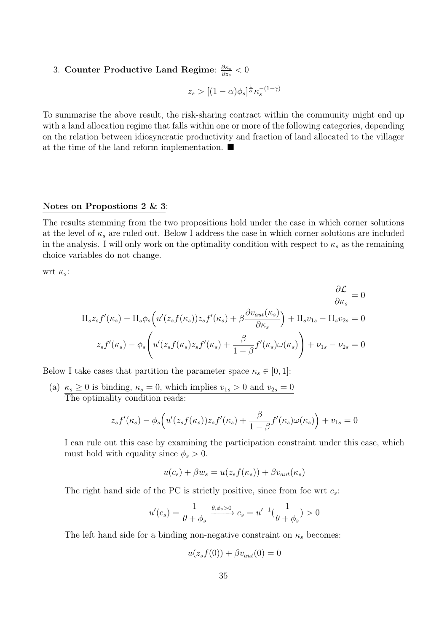#### 3. Counter Productive Land Regime:  $\frac{\partial \kappa_s}{\partial z_s}$  $\frac{\partial \kappa_s}{\partial z_s} < 0$

$$
z_s > \big[(1-\alpha)\phi_s\big]^{\frac{1}{\alpha}}\kappa_s^{-(1-\gamma)}
$$

To summarise the above result, the risk-sharing contract within the community might end up with a land allocation regime that falls within one or more of the following categories, depending on the relation between idiosyncratic productivity and fraction of land allocated to the villager at the time of the land reform implementation.  $\blacksquare$ 

### Notes on Propostions 2 & 3:

The results stemming from the two propositions hold under the case in which corner solutions at the level of  $\kappa_s$  are ruled out. Below I address the case in which corner solutions are included in the analysis. I will only work on the optimality condition with respect to  $\kappa_s$  as the remaining choice variables do not change.

wrt  $\kappa_s$ :

$$
\frac{\partial \mathcal{L}}{\partial \kappa_s} = 0
$$
  

$$
\Pi_s z_s f'(\kappa_s) - \Pi_s \phi_s \left( u'(z_s f(\kappa_s)) z_s f'(\kappa_s) + \beta \frac{\partial v_{aut}(\kappa_s)}{\partial \kappa_s} \right) + \Pi_s v_{1s} - \Pi_s v_{2s} = 0
$$
  

$$
z_s f'(\kappa_s) - \phi_s \left( u'(z_s f(\kappa_s) z_s f'(\kappa_s) + \frac{\beta}{1 - \beta} f'(\kappa_s) \omega(\kappa_s) \right) + \nu_{1s} - \nu_{2s} = 0
$$

Below I take cases that partition the parameter space  $\kappa_s \in [0,1]$ :

(a)  $\kappa_s \geq 0$  is binding,  $\kappa_s = 0$ , which implies  $v_{1s} > 0$  and  $v_{2s} = 0$ The optimality condition reads:

$$
z_s f'(\kappa_s) - \phi_s \Big( u'(z_s f(\kappa_s)) z_s f'(\kappa_s) + \frac{\beta}{1 - \beta} f'(\kappa_s) \omega(\kappa_s) \Big) + v_{1s} = 0
$$

I can rule out this case by examining the participation constraint under this case, which must hold with equality since  $\phi_s > 0$ .

$$
u(c_s) + \beta w_s = u(z_s f(\kappa_s)) + \beta v_{aut}(\kappa_s)
$$

The right hand side of the PC is strictly positive, since from foc wrt  $c_s$ :

$$
u'(c_s) = \frac{1}{\theta + \phi_s} \xrightarrow{\theta, \phi_s > 0} c_s = u'^{-1}(\frac{1}{\theta + \phi_s}) > 0
$$

The left hand side for a binding non-negative constraint on  $\kappa_s$  becomes:

$$
u(z_s f(0)) + \beta v_{aut}(0) = 0
$$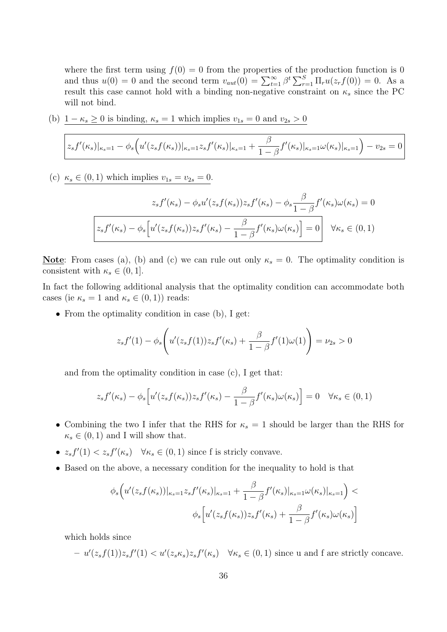where the first term using  $f(0) = 0$  from the properties of the production function is 0 and thus  $u(0) = 0$  and the second term  $v_{aut}(0) = \sum_{t=1}^{\infty} \beta^t \sum_{r=1}^{S} \Pi_r u(z_r f(0)) = 0$ . As a result this case cannot hold with a binding non-negative constraint on  $\kappa_s$  since the PC will not bind.

(b)  $1 - \kappa_s \ge 0$  is binding,  $\kappa_s = 1$  which implies  $v_{1s} = 0$  and  $v_{2s} > 0$ 

$$
z_s f'(\kappa_s)|_{\kappa_s=1} - \phi_s \Big( u'(z_s f(\kappa_s))|_{\kappa_s=1} z_s f'(\kappa_s)|_{\kappa_s=1} + \frac{\beta}{1-\beta} f'(\kappa_s)|_{\kappa_s=1} \omega(\kappa_s)|_{\kappa_s=1} \Big) - v_{2s} = 0
$$

(c)  $\kappa_s \in (0, 1)$  which implies  $v_{1s} = v_{2s} = 0$ .

$$
z_s f'(\kappa_s) - \phi_s u'(z_s f(\kappa_s)) z_s f'(\kappa_s) - \phi_s \frac{\beta}{1 - \beta} f'(\kappa_s) \omega(\kappa_s) = 0
$$

$$
z_s f'(\kappa_s) - \phi_s \left[ u'(z_s f(\kappa_s)) z_s f'(\kappa_s) - \frac{\beta}{1 - \beta} f'(\kappa_s) \omega(\kappa_s) \right] = 0 \quad \forall \kappa_s \in (0, 1)
$$

**<u>Note</u>**: From cases (a), (b) and (c) we can rule out only  $\kappa_s = 0$ . The optimality condition is consistent with  $\kappa_s \in (0, 1]$ .

In fact the following additional analysis that the optimality condition can accommodate both cases (ie  $\kappa_s = 1$  and  $\kappa_s \in (0, 1)$ ) reads:

• From the optimality condition in case (b), I get:

$$
z_s f'(1) - \phi_s \left( u'(z_s f(1)) z_s f'(\kappa_s) + \frac{\beta}{1 - \beta} f'(1) \omega(1) \right) = \nu_{2s} > 0
$$

and from the optimality condition in case (c), I get that:

$$
z_s f'(\kappa_s) - \phi_s \Big[ u'(z_s f(\kappa_s)) z_s f'(\kappa_s) - \frac{\beta}{1 - \beta} f'(\kappa_s) \omega(\kappa_s) \Big] = 0 \quad \forall \kappa_s \in (0, 1)
$$

- Combining the two I infer that the RHS for  $\kappa_s = 1$  should be larger than the RHS for  $\kappa_s \in (0, 1)$  and I will show that.
- $z_s f'(1) < z_s f'(\kappa_s)$   $\forall \kappa_s \in (0,1)$  since f is stricly convave.
- Based on the above, a necessary condition for the inequality to hold is that

$$
\phi_s\Big(u'(z_s f(\kappa_s))|_{\kappa_s=1}z_s f'(\kappa_s)|_{\kappa_s=1} + \frac{\beta}{1-\beta} f'(\kappa_s)|_{\kappa_s=1} \omega(\kappa_s)|_{\kappa_s=1}\Big) \phi_s\Big[u'(z_s f(\kappa_s))z_s f'(\kappa_s) + \frac{\beta}{1-\beta} f'(\kappa_s) \omega(\kappa_s)\Big]
$$

which holds since

$$
- u'(z_s f(1))z_s f'(1) < u'(z_s \kappa_s)z_s f'(\kappa_s) \quad \forall \kappa_s \in (0,1) \text{ since } u \text{ and } f \text{ are strictly concave.}
$$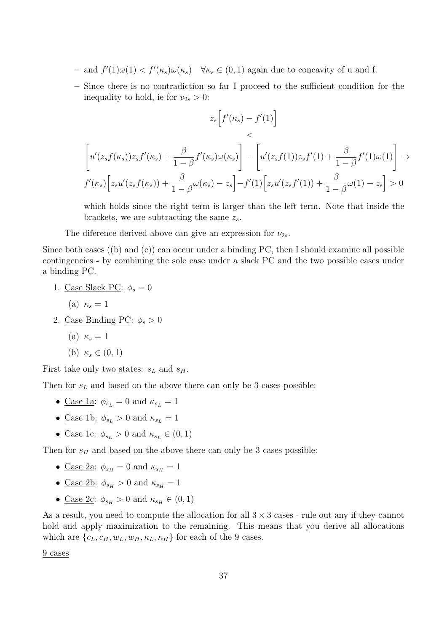- $-$  and  $f'(1)\omega(1) < f'(\kappa_s)\omega(\kappa_s)$   $\forall \kappa_s \in (0,1)$  again due to concavity of u and f.
- Since there is no contradiction so far I proceed to the sufficient condition for the inequality to hold, ie for  $v_{2s} > 0$ :

$$
z_s[f'(\kappa_s) - f'(1)]
$$
  
\n
$$
\left[ u'(z_s f(\kappa_s)) z_s f'(\kappa_s) + \frac{\beta}{1 - \beta} f'(\kappa_s) \omega(\kappa_s) \right] - \left[ u'(z_s f(1)) z_s f'(1) + \frac{\beta}{1 - \beta} f'(1) \omega(1) \right] \to
$$
  
\n
$$
f'(\kappa_s) \left[ z_s u'(z_s f(\kappa_s)) + \frac{\beta}{1 - \beta} \omega(\kappa_s) - z_s \right] - f'(1) \left[ z_s u'(z_s f'(1)) + \frac{\beta}{1 - \beta} \omega(1) - z_s \right] > 0
$$

which holds since the right term is larger than the left term. Note that inside the brackets, we are subtracting the same  $z_s$ .

The diference derived above can give an expression for  $\nu_{2s}$ .

Since both cases ((b) and (c)) can occur under a binding PC, then I should examine all possible contingencies - by combining the sole case under a slack PC and the two possible cases under a binding PC.

- 1. Case Slack PC:  $\phi_s = 0$ 
	- (a)  $\kappa_s = 1$
- 2. Case Binding PC:  $\phi_s > 0$ 
	- (a)  $\kappa_s = 1$

(b) 
$$
\kappa_s \in (0,1)
$$

First take only two states:  $s_L$  and  $s_H$ .

Then for  $s<sub>L</sub>$  and based on the above there can only be 3 cases possible:

- <u>Case 1a</u>:  $\phi_{s_L} = 0$  and  $\kappa_{s_L} = 1$
- <u>Case 1b</u>:  $\phi_{s_L} > 0$  and  $\kappa_{s_L} = 1$
- <u>Case 1c</u>:  $\phi_{s_L} > 0$  and  $\kappa_{s_L} \in (0, 1)$

Then for  $s_H$  and based on the above there can only be 3 cases possible:

- <u>Case 2a</u>:  $\phi_{s_H} = 0$  and  $\kappa_{s_H} = 1$
- <u>Case 2b</u>:  $\phi_{s_H} > 0$  and  $\kappa_{s_H} = 1$
- <u>Case 2c</u>:  $\phi_{s_H} > 0$  and  $\kappa_{s_H} \in (0, 1)$

As a result, you need to compute the allocation for all  $3 \times 3$  cases - rule out any if they cannot hold and apply maximization to the remaining. This means that you derive all allocations which are  $\{c_L, c_H, w_L, w_H, \kappa_L, \kappa_H\}$  for each of the 9 cases.

9 cases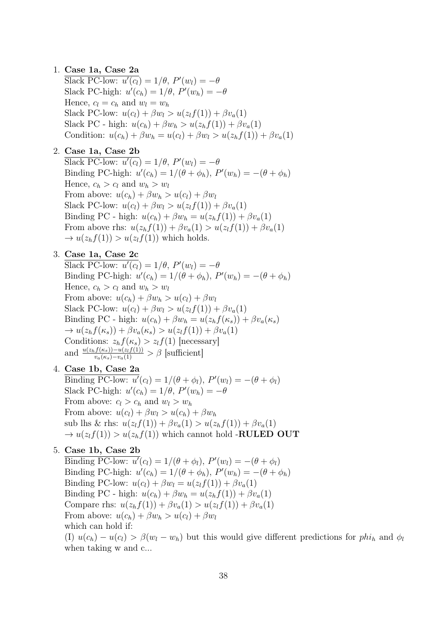### 1. Case 1a, Case 2a

Slack PC-low:  $u'(c_l) = 1/\theta$ ,  $P'(w_l) = -\theta$ Slack PC-high:  $u'(c_h) = 1/\theta$ ,  $P'(w_h) = -\theta$ Hence,  $c_l = c_h$  and  $w_l = w_h$ Slack PC-low:  $u(c_l) + \beta w_l > u(z_l f(1)) + \beta v_a(1)$ Slack PC - high:  $u(c_h) + \beta w_h > u(z_h f(1)) + \beta v_a(1)$ Condition:  $u(c_h) + \beta w_h = u(c_l) + \beta w_l > u(z_h f(1)) + \beta v_a(1)$ 

### 2. Case 1a, Case 2b

Slack PC-low:  $u'(c_l) = 1/\theta$ ,  $P'(w_l) = -\theta$ Binding PC-high:  $u'(c_h) = 1/(\theta + \phi_h)$ ,  $P'(w_h) = -(\theta + \phi_h)$ Hence,  $c_h > c_l$  and  $w_h > w_l$ From above:  $u(c_h) + \beta w_h > u(c_l) + \beta w_l$ Slack PC-low:  $u(c_l) + \beta w_l > u(z_l f(1)) + \beta v_a(1)$ Binding PC - high:  $u(c_h) + \beta w_h = u(z_h f(1)) + \beta v_a(1)$ From above rhs:  $u(z_h f(1)) + \beta v_a(1) > u(z_l f(1)) + \beta v_a(1)$  $\rightarrow u(z_h f(1)) > u(z_l f(1))$  which holds.

### 3. Case 1a, Case 2c

Slack PC-low:  $u'(c_l) = 1/\theta$ ,  $P'(w_l) = -\theta$ Binding PC-high:  $u'(c_h) = 1/(\theta + \phi_h)$ ,  $P'(w_h) = -(\theta + \phi_h)$ Hence,  $c_h > c_l$  and  $w_h > w_l$ From above:  $u(c_h) + \beta w_h > u(c_l) + \beta w_l$ Slack PC-low:  $u(c_l) + \beta w_l > u(z_l f(1)) + \beta v_a(1)$ Binding PC - high:  $u(c_h) + \beta w_h = u(z_h f(\kappa_s)) + \beta v_a(\kappa_s)$  $\rightarrow u(z_h f(\kappa_s)) + \beta v_a(\kappa_s) > u(z_l f(1)) + \beta v_a(1)$ Conditions:  $z_h f(\kappa_s) > z_l f(1)$  [necessary] and  $\frac{u(z_h f(\kappa_s)) - u(z_l f(1))}{v_a(\kappa_s) - v_a(1)} > \beta$  [sufficient]

### 4. Case 1b, Case 2a

Binding PC-low:  $u'(c_l) = 1/(\theta + \phi_l)$ ,  $P'(w_l) = -(\theta + \phi_l)$ Slack PC-high:  $u'(c_h) = 1/\theta$ ,  $P'(w_h) = -\theta$ From above:  $c_l > c_h$  and  $w_l > w_h$ From above:  $u(c_l) + \beta w_l > u(c_h) + \beta w_h$ sub lhs & rhs:  $u(z_t f(1)) + \beta v_a(1) > u(z_b f(1)) + \beta v_a(1)$  $\rightarrow u(z_l f(1)) > u(z_h f(1))$  which cannot hold -**RULED OUT** 

### 5. Case 1b, Case 2b

Binding PC-low:  $u'(c_l) = 1/(\theta + \phi_l)$ ,  $P'(w_l) = -(\theta + \phi_l)$ Binding PC-high:  $u'(c_h) = 1/(\theta + \phi_h)$ ,  $P'(w_h) = -(\theta + \phi_h)$ Binding PC-low:  $u(c_l) + \beta w_l = u(z_l f(1)) + \beta v_a(1)$ Binding PC - high:  $u(c_h) + \beta w_h = u(z_h f(1)) + \beta v_a(1)$ Compare rhs:  $u(z_h f(1)) + \beta v_a(1) > u(z_l f(1)) + \beta v_a(1)$ From above:  $u(c_h) + \beta w_h > u(c_l) + \beta w_l$ which can hold if:

(I)  $u(c_h) - u(c_l) > \beta(w_l - w_h)$  but this would give different predictions for  $phi_h$  and  $\phi_l$ when taking w and c...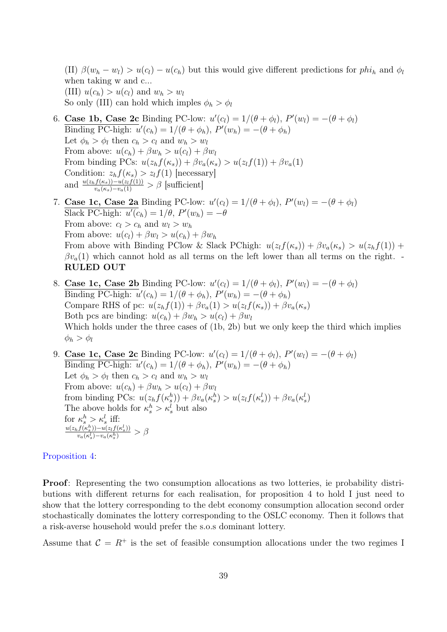(II)  $\beta(w_h - w_l) > u(c_l) - u(c_h)$  but this would give different predictions for phi<sub>h</sub> and  $\phi_l$ when taking w and c... (III)  $u(c_h) > u(c_l)$  and  $w_h > w_l$ So only (III) can hold which imples  $\phi_h > \phi_l$ 

- 6. Case 1b, Case 2c Binding PC-low:  $u'(c_l) = 1/(\theta + \phi_l)$ ,  $P'(w_l) = -(\theta + \phi_l)$ Binding PC-high:  $u'(c_h) = 1/(\theta + \phi_h)$ ,  $P'(w_h) = -(\theta + \phi_h)$ Let  $\phi_h > \phi_l$  then  $c_h > c_l$  and  $w_h > w_l$ From above:  $u(c_h) + \beta w_h > u(c_l) + \beta w_l$ From binding PCs:  $u(z_h f(\kappa_s)) + \beta v_a(\kappa_s) > u(z_l f(1)) + \beta v_a(1)$ Condition:  $z_h f(\kappa_s) > z_l f(1)$  [necessary] and  $\frac{u(z_h f(\kappa_s)) - u(z_l f(1))}{v_a(\kappa_s) - v_a(1)} > \beta$  [sufficient]
- 7. Case 1c, Case 2a Binding PC-low:  $u'(c_l) = 1/(\theta + \phi_l)$ ,  $P'(w_l) = -(\theta + \phi_l)$ Slack PC-high:  $u'(c_h) = 1/\theta$ ,  $P'(w_h) = -\theta$ From above:  $c_l > c_h$  and  $w_l > w_h$ From above:  $u(c_l) + \beta w_l > u(c_h) + \beta w_h$ From above with Binding PClow & Slack PChigh:  $u(z_t f(\kappa_s)) + \beta v_a(\kappa_s) > u(z_b f(1)) +$  $\beta v_a(1)$  which cannot hold as all terms on the left lower than all terms on the right. RULED OUT
- 8. Case 1c, Case 2b Binding PC-low:  $u'(c_l) = 1/(\theta + \phi_l)$ ,  $P'(w_l) = -(\theta + \phi_l)$ Binding PC-high:  $u'(c_h) = 1/(\theta + \phi_h)$ ,  $P'(w_h) = -(\theta + \phi_h)$ Compare RHS of pc:  $u(z_h f(1)) + \beta v_a(1) > u(z_l f(\kappa_s)) + \beta v_a(\kappa_s)$ Both pcs are binding:  $u(c_h) + \beta w_h > u(c_l) + \beta w_l$ Which holds under the three cases of (1b, 2b) but we only keep the third which implies  $\phi_h > \phi_l$

9. Case 1c, Case 2c Binding PC-low:  $u'(c_l) = 1/(\theta + \phi_l)$ ,  $P'(w_l) = -(\theta + \phi_l)$ Binding PC-high:  $u'(c_h) = 1/(\theta + \phi_h)$ ,  $P'(w_h) = -(\theta + \phi_h)$ Let  $\phi_h > \phi_l$  then  $c_h > c_l$  and  $w_h > w_l$ From above:  $u(c_h) + \beta w_h > u(c_l) + \beta w_l$ from binding PCs:  $u(z_h f(\kappa_s^h)) + \beta v_a(\kappa_s^h) > u(z_l f(\kappa_s^l)) + \beta v_a(\kappa_s^l)$ The above holds for  $\kappa_s^h > \kappa_s^l$  but also for  $\kappa_s^h > \kappa_s^l$  iff:  $u(z_h f(\kappa_s^h)) - u(z_l f(\kappa_s^l))$  $\frac{v_s f(\kappa_s^s)) - u(z_l f(\kappa_s^s))}{v_a(\kappa_s^l) - v_a(\kappa_s^h)} > \beta_s$ 

### [Proposition 4:](#page-0-0)

Proof: Representing the two consumption allocations as two lotteries, ie probability distributions with different returns for each realisation, for proposition 4 to hold I just need to show that the lottery corresponding to the debt economy consumption allocation second order stochastically dominates the lottery corresponding to the OSLC economy. Then it follows that a risk-averse household would prefer the s.o.s dominant lottery.

Assume that  $\mathcal{C} = R^+$  is the set of feasible consumption allocations under the two regimes I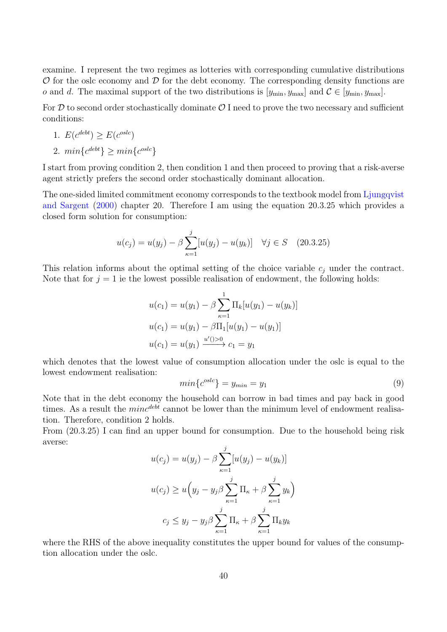examine. I represent the two regimes as lotteries with corresponding cumulative distributions  $\mathcal O$  for the oslc economy and  $\mathcal D$  for the debt economy. The corresponding density functions are o and d. The maximal support of the two distributions is  $[y_{\min}, y_{\max}]$  and  $\mathcal{C} \in [y_{\min}, y_{\max}]$ .

For  $D$  to second order stochastically dominate  $D$  I need to prove the two necessary and sufficient conditions:

1. 
$$
E(c^{debt}) \ge E(c^{oslc})
$$

2.  $min\{c^{debt}\}\geq min\{c^{oslc}\}\$ 

I start from proving condition 2, then condition 1 and then proceed to proving that a risk-averse agent strictly prefers the second order stochastically dominant allocation.

The one-sided limited commitment economy corresponds to the textbook model from [Ljungqvist](#page-26-16) [and Sargent](#page-26-16) [\(2000\)](#page-26-16) chapter 20. Therefore I am using the equation 20.3.25 which provides a closed form solution for consumption:

$$
u(c_j) = u(y_j) - \beta \sum_{\kappa=1}^{j} [u(y_j) - u(y_\kappa)] \quad \forall j \in S \quad (20.3.25)
$$

This relation informs about the optimal setting of the choice variable  $c_j$  under the contract. Note that for  $j = 1$  ie the lowest possible realisation of endowment, the following holds:

$$
u(c_1) = u(y_1) - \beta \sum_{\kappa=1}^{1} \Pi_k[u(y_1) - u(y_\kappa)]
$$
  

$$
u(c_1) = u(y_1) - \beta \Pi_1[u(y_1) - u(y_1)]
$$
  

$$
u(c_1) = u(y_1) \xrightarrow{u'(1) > 0} c_1 = y_1
$$

which denotes that the lowest value of consumption allocation under the oslc is equal to the lowest endowment realisation:

$$
min{c^{oslc}} = y_{min} = y_1
$$
\n(9)

Note that in the debt economy the household can borrow in bad times and pay back in good times. As a result the  $min^{debt}$  cannot be lower than the minimum level of endowment realisation. Therefore, condition 2 holds.

From (20.3.25) I can find an upper bound for consumption. Due to the household being risk averse:

$$
u(c_j) = u(y_j) - \beta \sum_{\kappa=1}^{j} [u(y_j) - u(y_k)]
$$
  

$$
u(c_j) \ge u\left(y_j - y_j \beta \sum_{\kappa=1}^{j} \Pi_{\kappa} + \beta \sum_{\kappa=1}^{j} y_k\right)
$$
  

$$
c_j \le y_j - y_j \beta \sum_{\kappa=1}^{j} \Pi_{\kappa} + \beta \sum_{\kappa=1}^{j} \Pi_k y_k
$$

where the RHS of the above inequality constitutes the upper bound for values of the consumption allocation under the oslc.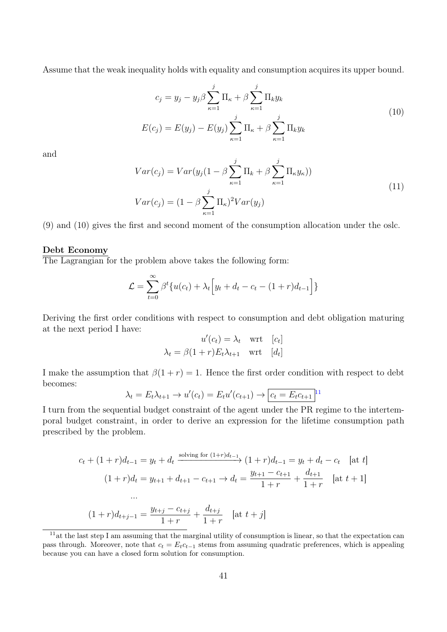Assume that the weak inequality holds with equality and consumption acquires its upper bound.

$$
c_j = y_j - y_j \beta \sum_{\kappa=1}^j \Pi_{\kappa} + \beta \sum_{\kappa=1}^j \Pi_k y_k
$$
  

$$
E(c_j) = E(y_j) - E(y_j) \sum_{\kappa=1}^j \Pi_{\kappa} + \beta \sum_{\kappa=1}^j \Pi_k y_k
$$
 (10)

and

$$
Var(c_j) = Var(y_j(1 - \beta \sum_{\kappa=1}^j \Pi_k + \beta \sum_{\kappa=1}^j \Pi_{\kappa} y_{\kappa}))
$$
  

$$
Var(c_j) = (1 - \beta \sum_{\kappa=1}^j \Pi_{\kappa})^2 Var(y_j)
$$
 (11)

(9) and (10) gives the first and second moment of the consumption allocation under the oslc.

#### Debt Economy

The Lagrangian for the problem above takes the following form:

$$
\mathcal{L} = \sum_{t=0}^{\infty} \beta^t \{ u(c_t) + \lambda_t \Big[ y_t + d_t - c_t - (1+r) d_{t-1} \Big] \}
$$

Deriving the first order conditions with respect to consumption and debt obligation maturing at the next period I have:

$$
u'(c_t) = \lambda_t \quad \text{wrt} \quad [c_t]
$$

$$
\lambda_t = \beta(1+r)E_t\lambda_{t+1} \quad \text{wrt} \quad [d_t]
$$

I make the assumption that  $\beta(1+r) = 1$ . Hence the first order condition with respect to debt becomes:

$$
\lambda_t = E_t \lambda_{t+1} \to u'(c_t) = E_t u'(c_{t+1}) \to \boxed{c_t = E_t c_{t+1}}^{11}
$$

I turn from the sequential budget constraint of the agent under the PR regime to the intertemporal budget constraint, in order to derive an expression for the lifetime consumption path prescribed by the problem.

$$
c_t + (1+r)d_{t-1} = y_t + d_t \xrightarrow{\text{solving for } (1+r)d_{t-1}} (1+r)d_{t-1} = y_t + d_t - c_t \quad \text{[at } t\text{]}
$$
\n
$$
(1+r)d_t = y_{t+1} + d_{t+1} - c_{t+1} \to d_t = \frac{y_{t+1} - c_{t+1}}{1+r} + \frac{d_{t+1}}{1+r} \quad \text{[at } t+1\text{]}
$$
\n
$$
\dots
$$
\n
$$
(1+r)d_{t+j-1} = \frac{y_{t+j} - c_{t+j}}{1+r} + \frac{d_{t+j}}{1+r} \quad \text{[at } t+j\text{]}
$$

<span id="page-40-0"></span> $11$ at the last step I am assuming that the marginal utility of consumption is linear, so that the expectation can pass through. Moreover, note that  $c_t = E_t c_{t-1}$  stems from assuming quadratic preferences, which is appealing because you can have a closed form solution for consumption.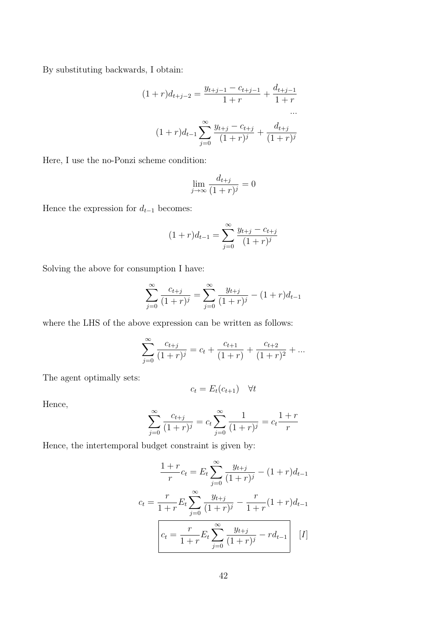By substituting backwards, I obtain:

$$
(1+r)d_{t+j-2} = \frac{y_{t+j-1} - c_{t+j-1}}{1+r} + \frac{d_{t+j-1}}{1+r}
$$

$$
\cdots
$$

$$
(1+r)d_{t-1} \sum_{j=0}^{\infty} \frac{y_{t+j} - c_{t+j}}{(1+r)^j} + \frac{d_{t+j}}{(1+r)^j}
$$

Here, I use the no-Ponzi scheme condition:

$$
\lim_{j \to \infty} \frac{d_{t+j}}{(1+r)^j} = 0
$$

Hence the expression for  $d_{t-1}$  becomes:

$$
(1+r)d_{t-1} = \sum_{j=0}^{\infty} \frac{y_{t+j} - c_{t+j}}{(1+r)^j}
$$

Solving the above for consumption I have:

$$
\sum_{j=0}^{\infty} \frac{c_{t+j}}{(1+r)^j} = \sum_{j=0}^{\infty} \frac{y_{t+j}}{(1+r)^j} - (1+r)d_{t-1}
$$

where the LHS of the above expression can be written as follows:

$$
\sum_{j=0}^{\infty} \frac{c_{t+j}}{(1+r)^j} = c_t + \frac{c_{t+1}}{(1+r)} + \frac{c_{t+2}}{(1+r)^2} + \dots
$$

The agent optimally sets:

$$
c_t = E_t(c_{t+1}) \quad \forall t
$$

Hence,

$$
\sum_{j=0}^{\infty} \frac{c_{t+j}}{(1+r)^j} = c_t \sum_{j=0}^{\infty} \frac{1}{(1+r)^j} = c_t \frac{1+r}{r}
$$

Hence, the intertemporal budget constraint is given by:

$$
\frac{1+r}{r}c_t = E_t \sum_{j=0}^{\infty} \frac{y_{t+j}}{(1+r)^j} - (1+r)d_{t-1}
$$

$$
c_t = \frac{r}{1+r}E_t \sum_{j=0}^{\infty} \frac{y_{t+j}}{(1+r)^j} - \frac{r}{1+r}(1+r)d_{t-1}
$$

$$
c_t = \frac{r}{1+r}E_t \sum_{j=0}^{\infty} \frac{y_{t+j}}{(1+r)^j} - rd_{t-1} \qquad [I]
$$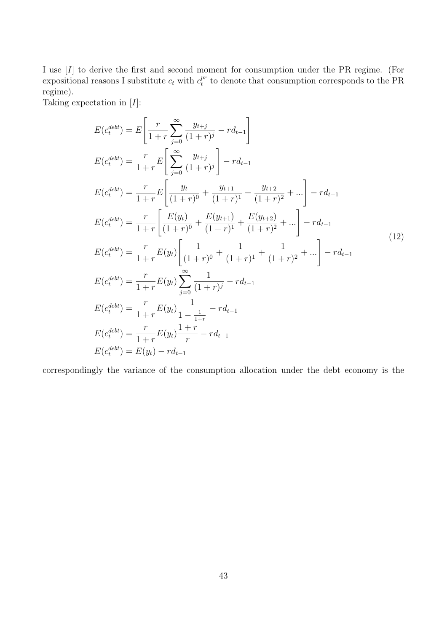I use [I] to derive the first and second moment for consumption under the PR regime. (For expositional reasons I substitute  $c_t$  with  $c_t^{pr}$  $t_t^{pr}$  to denote that consumption corresponds to the PR regime).

Taking expectation in  $[I]$ :

$$
E(c_t^{debt}) = E\left[\frac{r}{1+r} \sum_{j=0}^{\infty} \frac{y_{t+j}}{(1+r)^j} - rd_{t-1}\right]
$$
  
\n
$$
E(c_t^{debt}) = \frac{r}{1+r} E\left[\sum_{j=0}^{\infty} \frac{y_{t+j}}{(1+r)^j}\right] - rd_{t-1}
$$
  
\n
$$
E(c_t^{debt}) = \frac{r}{1+r} E\left[\frac{y_t}{(1+r)^0} + \frac{y_{t+1}}{(1+r)^1} + \frac{y_{t+2}}{(1+r)^2} + \dots\right] - rd_{t-1}
$$
  
\n
$$
E(c_t^{debt}) = \frac{r}{1+r} \left[\frac{E(y_t)}{(1+r)^0} + \frac{E(y_{t+1})}{(1+r)^1} + \frac{E(y_{t+2})}{(1+r)^2} + \dots\right] - rd_{t-1}
$$
  
\n
$$
E(c_t^{debt}) = \frac{r}{1+r} E(y_t) \left[\frac{1}{(1+r)^0} + \frac{1}{(1+r)^1} + \frac{1}{(1+r)^2} + \dots\right] - rd_{t-1}
$$
  
\n
$$
E(c_t^{debt}) = \frac{r}{1+r} E(y_t) \sum_{j=0}^{\infty} \frac{1}{(1+r)^j} - rd_{t-1}
$$
  
\n
$$
E(c_t^{debt}) = \frac{r}{1+r} E(y_t) \frac{1}{1-\frac{1}{1+r}} - rd_{t-1}
$$
  
\n
$$
E(c_t^{debt}) = \frac{r}{1+r} E(y_t) \frac{1+r}{r} - rd_{t-1}
$$
  
\n
$$
E(c_t^{debt}) = E(y_t) - rd_{t-1}
$$

correspondingly the variance of the consumption allocation under the debt economy is the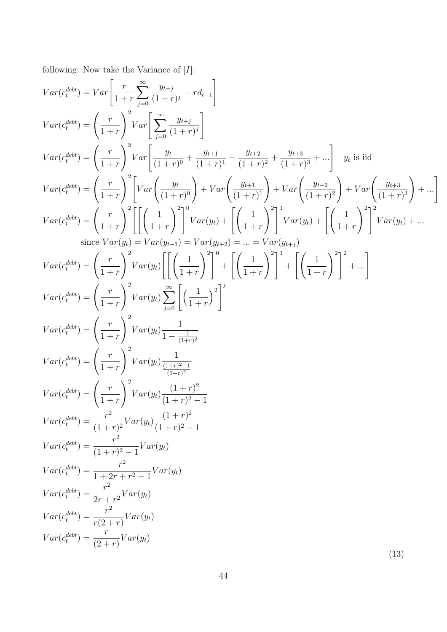following: Now take the Variance of  $[I]$ :

$$
Var(c_i^{bbl}) = Var \left[ \frac{r}{1+r} \sum_{j=0}^{\infty} \frac{y_{t+j}}{(1+r)^j} - rd_{t-1} \right]
$$
\n
$$
Var(c_i^{bbl}) = \left( \frac{r}{1+r} \right)^2 Var \left[ \sum_{j=0}^{\infty} \frac{y_{t+j}}{(1+r)^0} \right]
$$
\n
$$
Var(c_i^{bbl}) = \left( \frac{r}{1+r} \right)^2 Var \left[ \frac{y_t}{(1+r)^0} + \frac{y_{t+1}}{(1+r)^1} + \frac{y_{t+2}}{(1+r)^2} + \frac{y_{t+3}}{(1+r)^3} + \cdots \right] y_t \text{ is iid}
$$
\n
$$
Var(c_i^{bbl}) = \left( \frac{r}{1+r} \right)^2 \left[ Var \left( \frac{y_t}{(1+r)^0} \right) + Var \left( \frac{y_{t+1}}{(1+r)^1} \right) + Var \left( \frac{y_{t+2}}{(1+r)^2} \right) + Var \left( \frac{y_{t+3}}{(1+r)^3} \right) + \cdots \right]
$$
\n
$$
Var(c_i^{bbl}) = \left( \frac{r}{1+r} \right)^2 \left[ \left[ \left( \frac{1}{1+r} \right)^2 \right]^2 Var(y_t) + \left[ \left( \frac{1}{1+r} \right)^2 \right]^2 Var(y_t) + \left[ \left( \frac{1}{1+r} \right)^2 \right]^2 Var(y_t) + \cdots \right]
$$
\n
$$
Var(c_i^{bbl}) = Var(y_{t+1}) = Var(y_{t+2}) = \cdots = Var(y_{t+1})
$$
\n
$$
Var(c_i^{bbl}) = \left( \frac{r}{1+r} \right)^2 Var(y_t) \left[ \left( \frac{1}{1+r} \right)^2 \right]^3 + \left[ \left( \frac{1}{1+r} \right)^2 \right]^2 + \cdots \right]
$$
\n
$$
Var(c_i^{bbl}) = \left( \frac{r}{1+r} \right)^2 Var(y_t) \sum_{j=0}^{\infty} \left( \frac{1}{1+r} \right)^2 \right]^3
$$
\n
$$
Var(c_i^{bbl}) = \left( \frac{r}{1+r} \right)^2 Var(y_t) \frac{1}{1-(\frac{1}{1+r)^2}}
$$
\n
$$
Var(c_i^{bbl}) = \left( \
$$

(13)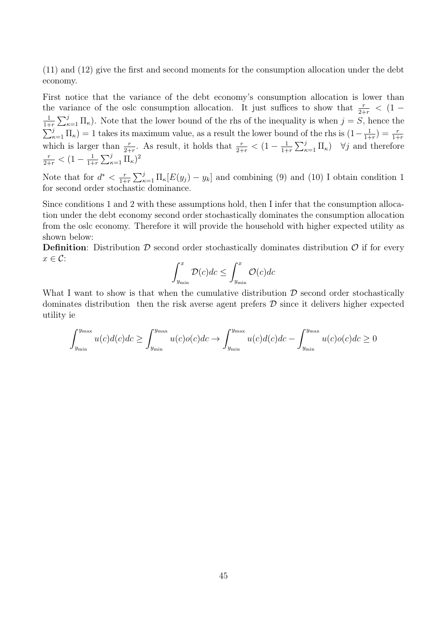(11) and (12) give the first and second moments for the consumption allocation under the debt economy.

First notice that the variance of the debt economy's consumption allocation is lower than the variance of the oslc consumption allocation. It just suffices to show that  $\frac{r}{2+r} < (1-\frac{1}{2})$ 1  $\frac{1}{1+r}\sum_{\kappa=1}^j \Pi_{\kappa}$ ). Note that the lower bound of the rhs of the inequality is when  $j = S$ , hence the  $\sum_{\kappa=1}^{j} \Pi_{\kappa}$ ) = 1 takes its maximum value, as a result the lower bound of the rhs is  $(1 - \frac{1}{1 + \epsilon})$  $\frac{1}{1+r}$ ) =  $\frac{r}{1+r}$ which is larger than  $\frac{r}{2+r}$ . As result, it holds that  $\frac{r}{2+r} < (1-\frac{1}{1+r})$  $\frac{1}{1+r} \sum_{\kappa=1}^j \Pi_{\kappa}$   $\forall j$  and therefore  $\frac{r}{2+r} < (1-\frac{1}{1+r})$  $\frac{1}{1+r} \sum_{\kappa=1}^j \Pi_{\kappa}$ <sup>2</sup>

Note that for  $d^* < \frac{r}{1+r}$  $\frac{r}{1+r}\sum_{\kappa=1}^j\Pi_{\kappa}[E(y_j)-y_k]$  and combining (9) and (10) I obtain condition 1 for second order stochastic dominance.

Since conditions 1 and 2 with these assumptions hold, then I infer that the consumption allocation under the debt economy second order stochastically dominates the consumption allocation from the oslc economy. Therefore it will provide the household with higher expected utility as shown below:

**Definition:** Distribution  $\mathcal{D}$  second order stochastically dominates distribution  $\mathcal{O}$  if for every  $x \in \mathcal{C}$ :

$$
\int_{y_{\min}}^{x} \mathcal{D}(c)dc \le \int_{y_{\min}}^{x} \mathcal{O}(c)dc
$$

What I want to show is that when the cumulative distribution  $D$  second order stochastically dominates distribution then the risk averse agent prefers  $\mathcal D$  since it delivers higher expected utility ie

$$
\int_{y_{\min}}^{y_{\max}} u(c)d(c)dc \ge \int_{y_{\min}}^{y_{\max}} u(c)o(c)dc \to \int_{y_{\min}}^{y_{\max}} u(c)d(c)dc - \int_{y_{\min}}^{y_{\max}} u(c)o(c)dc \ge 0
$$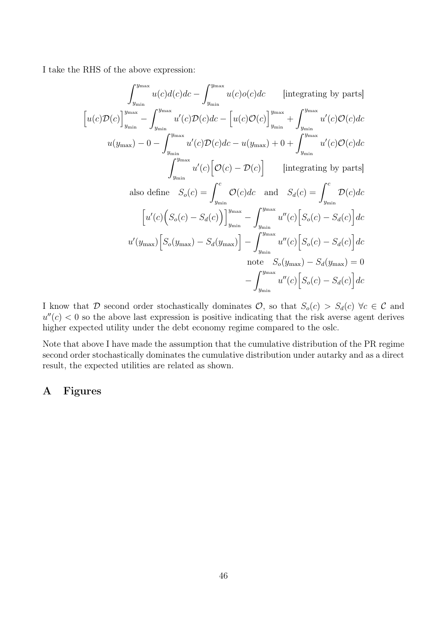I take the RHS of the above expression:

$$
\int_{y_{\min}}^{y_{\max}} u(c)d(c)dc - \int_{y_{\min}}^{y_{\max}} u(c)o(c)dc \quad \text{[integrating by parts]}
$$
  
\n
$$
[u(c)\mathcal{D}(c)]_{y_{\min}}^{y_{\max}} - \int_{y_{\min}}^{y_{\max}} u'(c)\mathcal{D}(c)dc - [u(c)\mathcal{O}(c)]_{y_{\min}}^{y_{\max}} + \int_{y_{\min}}^{y_{\max}} u'(c)\mathcal{O}(c)dc
$$
  
\n
$$
u(y_{\max}) - 0 - \int_{y_{\min}}^{y_{\max}} u'(c)\mathcal{D}(c)dc - u(y_{\max}) + 0 + \int_{y_{\min}}^{y_{\max}} u'(c)\mathcal{O}(c)dc
$$
  
\n
$$
\int_{y_{\min}}^{y_{\max}} u'(c) [\mathcal{O}(c) - \mathcal{D}(c)] \quad \text{[integrating by parts]}
$$
  
\nalso define  $S_o(c) = \int_{y_{\min}}^{c} \mathcal{O}(c)dc$  and  $S_d(c) = \int_{y_{\min}}^{c} \mathcal{D}(c)dc$   
\n
$$
[u'(c) (S_o(c) - S_d(c))]_{y_{\min}}^{y_{\max}} - \int_{y_{\min}}^{y_{\max}} u''(c) [S_o(c) - S_d(c)]dc
$$
  
\n
$$
u'(y_{\max}) [S_o(y_{\max}) - S_a(y_{\max})] - \int_{y_{\min}}^{y_{\max}} u''(c) [S_o(c) - S_d(c)]dc
$$
  
\nnote  $S_o(y_{\max}) - S_d(y_{\max}) = 0$   
\n
$$
- \int_{y_{\min}}^{y_{\max}} u''(c) [S_o(c) - S_d(c)]dc
$$

I know that D second order stochastically dominates  $\mathcal{O}$ , so that  $S_o(c) > S_d(c)$   $\forall c \in \mathcal{C}$  and  $u''(c) < 0$  so the above last expression is positive indicating that the risk averse agent derives higher expected utility under the debt economy regime compared to the oslc.

Note that above I have made the assumption that the cumulative distribution of the PR regime second order stochastically dominates the cumulative distribution under autarky and as a direct result, the expected utilities are related as shown.

### A Figures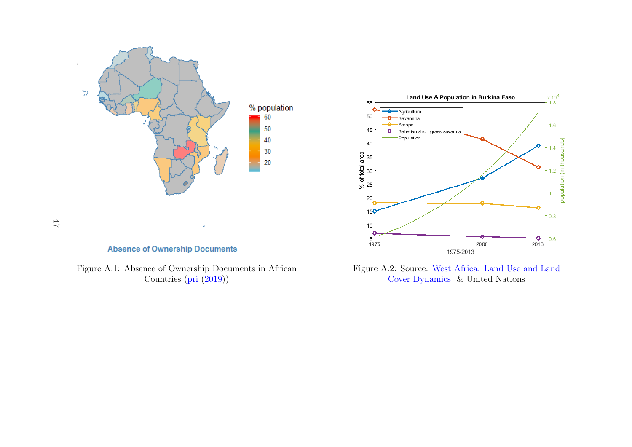

**Absence of Ownership Documents** 

47

Figure A.1: Absence of Ownership Documents in AfricanCountries [\(pri](#page-25-16) ([2019\)](#page-25-16))



<span id="page-46-0"></span>Figure A.2: Source: West [Africa:](https://eros.usgs.gov/westafrica/land-cover/land-use-land-cover-and-trends-burkina-faso) Land Use and LandCover [Dynamics](https://eros.usgs.gov/westafrica/land-cover/land-use-land-cover-and-trends-burkina-faso) & United Nations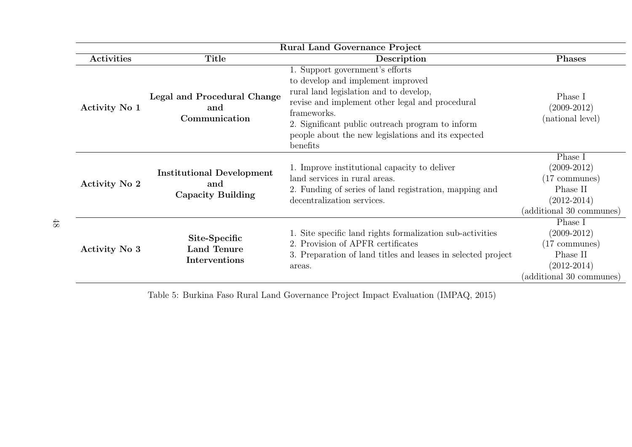| <b>Rural Land Governance Project</b> |                                                                     |                                                                                                                                                                                                                                                                                                        |                                                                                                                |  |  |
|--------------------------------------|---------------------------------------------------------------------|--------------------------------------------------------------------------------------------------------------------------------------------------------------------------------------------------------------------------------------------------------------------------------------------------------|----------------------------------------------------------------------------------------------------------------|--|--|
| <b>Activities</b>                    | Title                                                               | Description                                                                                                                                                                                                                                                                                            | <b>Phases</b>                                                                                                  |  |  |
| Activity No 1                        | Legal and Procedural Change<br>and<br>Communication                 | 1. Support government's efforts<br>to develop and implement improved<br>rural land legislation and to develop,<br>revise and implement other legal and procedural<br>frameworks.<br>2. Significant public outreach program to inform<br>people about the new legislations and its expected<br>benefits | Phase I<br>$(2009 - 2012)$<br>(national level)                                                                 |  |  |
| Activity No 2                        | <b>Institutional Development</b><br>and<br><b>Capacity Building</b> | 1. Improve institutional capacity to deliver<br>land services in rural areas.<br>2. Funding of series of land registration, mapping and<br>decentralization services.                                                                                                                                  | Phase I<br>$(2009-2012)$<br>$(17 \text{ communes})$<br>Phase II<br>$(2012 - 2014)$<br>(additional 30 communes) |  |  |
| Activity No 3                        | Site-Specific<br><b>Land Tenure</b><br>Interventions                | 1. Site specific land rights formalization sub-activities<br>2. Provision of APFR certificates<br>3. Preparation of land titles and leases in selected project<br>areas.                                                                                                                               | Phase I<br>$(2009-2012)$<br>$(17 \text{ communes})$<br>Phase II<br>$(2012 - 2014)$<br>(additional 30 communes) |  |  |

Table 5: Burkina Faso Rural Land Governance Project Impact Evaluation (IMPAQ, 2015)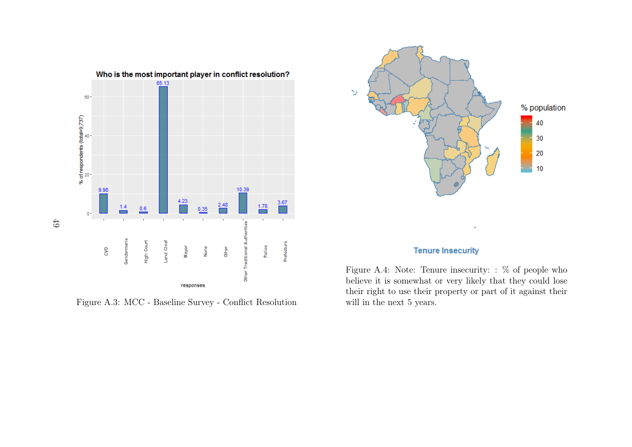

Figure A.3: MCC - Baseline Survey - Conflict Resolution

<span id="page-48-0"></span>

### **Tenure Insecurity**

Figure A.4: Note: Tenure insecurity: : % of people who believe it is somewhat or very likely that they could lose their right to use their property or part of it against theirwill in the next 5 years.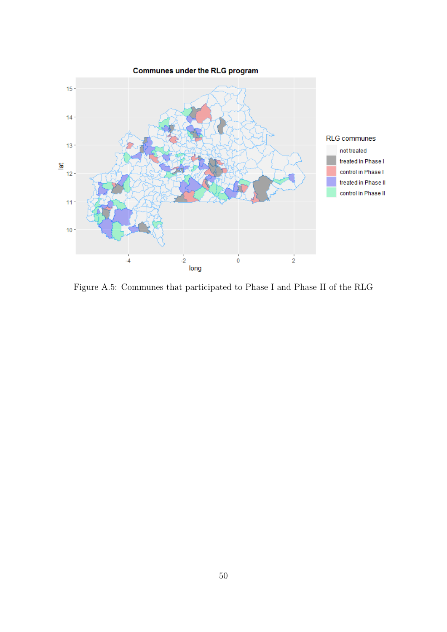<span id="page-49-0"></span>

Figure A.5: Communes that participated to Phase I and Phase II of the RLG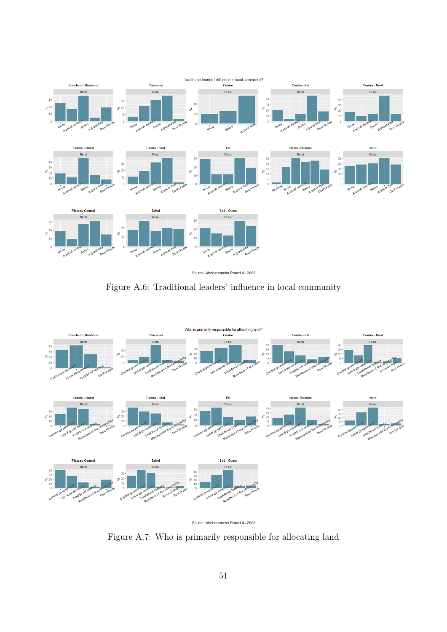<span id="page-50-0"></span>

Source: Afrobarometer Round 4 - 2008

Figure A.6: Traditional leaders' influence in local community

<span id="page-50-1"></span>

| Source: Afrobarometer Round 4 - 2008 |  |  |
|--------------------------------------|--|--|
|                                      |  |  |

Figure A.7: Who is primarily responsible for allocating land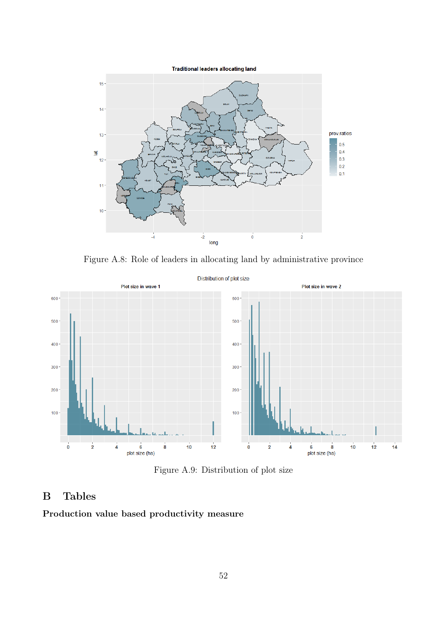

Figure A.8: Role of leaders in allocating land by administrative province

<span id="page-51-0"></span>

Figure A.9: Distribution of plot size

## B Tables

Production value based productivity measure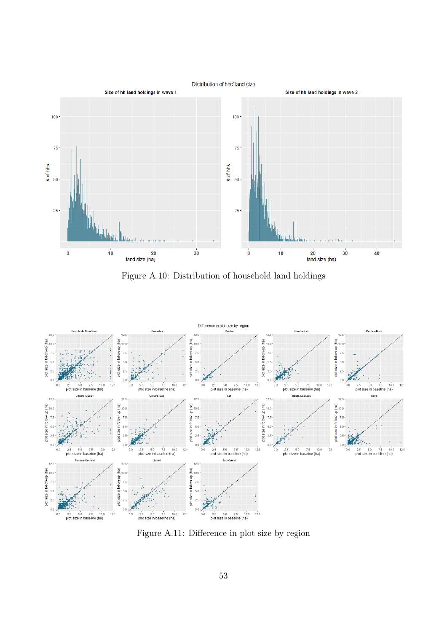<span id="page-52-1"></span>

Figure A.10: Distribution of household land holdings

<span id="page-52-0"></span>

Figure A.11: Difference in plot size by region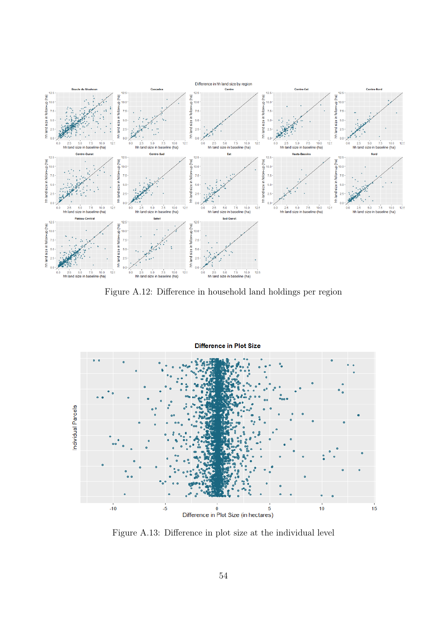

Figure A.12: Difference in household land holdings per region



Figure A.13: Difference in plot size at the individual level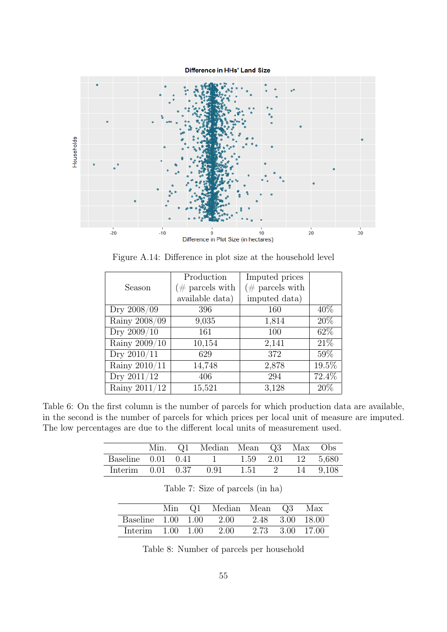Difference in HHs' Land Size



Figure A.14: Difference in plot size at the household level

|                 | Production          | Imputed prices     |       |
|-----------------|---------------------|--------------------|-------|
| Season          | ( $\#$ parcels with | $(\#$ parcels with |       |
|                 | available data)     | imputed data)      |       |
| Dry 2008/09     | 396                 | 160                | 40\%  |
| Rainy 2008/09   | 9,035               | 1,814              | 20%   |
| Dry 2009/10     | 161                 | 100                | 62\%  |
| Rainy $2009/10$ | 10,154              | 2,141              | 21%   |
| Dry 2010/11     | 629                 | 372                | 59%   |
| Rainy 2010/11   | 14,748              | 2,878              | 19.5% |
| Dry 2011/12     | 406                 | 294                | 72.4% |
| Rainy $2011/12$ | 15,521              | 3,128              | 20\%  |

<span id="page-54-0"></span>Table 6: On the first column is the number of parcels for which production data are available, in the second is the number of parcels for which prices per local unit of measure are imputed. The low percentages are due to the different local units of measurement used.

|                                         |  | Min. Q1 Median Mean Q3 Max Obs |                 |  |  |
|-----------------------------------------|--|--------------------------------|-----------------|--|--|
| Baseline 0.01 0.41 1 1.59 2.01 12 5,680 |  |                                |                 |  |  |
| Interim $0.01$ $0.37$ $0.91$            |  |                                | 1.51 2 14 9.108 |  |  |

Table 7: Size of parcels (in ha)

<span id="page-54-1"></span>

|                       |  | Min Q1 Median Mean Q3 Max               |                 |  |
|-----------------------|--|-----------------------------------------|-----------------|--|
|                       |  | Baseline 1.00 1.00 2.00 2.48 3.00 18.00 |                 |  |
| Interim $1.00$ $1.00$ |  | 2.00                                    | 2.73 3.00 17.00 |  |

Table 8: Number of parcels per household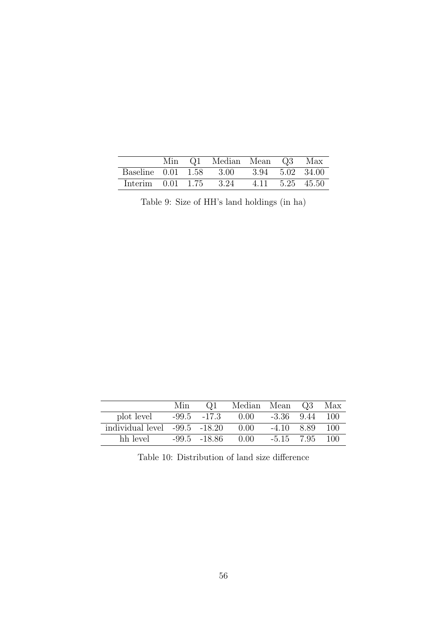<span id="page-55-0"></span>

|  | Min Q1 Median Mean Q3 Max                          |  |  |
|--|----------------------------------------------------|--|--|
|  | Baseline 0.01 1.58 3.00 3.94 5.02 34.00            |  |  |
|  | Interim $0.01$ $1.75$ $3.24$ $4.11$ $5.25$ $45.50$ |  |  |

Table 9: Size of HH's land holdings (in ha)

<span id="page-55-1"></span>

|                                   | Min | Q <sub>1</sub>   | Median Mean |                | Q3   | Max  |
|-----------------------------------|-----|------------------|-------------|----------------|------|------|
| plot level                        |     | $-99.5 -17.3$    | 0.00        | $-3.36$ $9.44$ |      | -100 |
| individual level $-99.5$ $-18.20$ |     |                  | 0.00        | $-4.10$        | 8.89 | 100  |
| hh level                          |     | $-99.5$ $-18.86$ | -0.00       | $-5.15$ 7.95   |      | 100  |

Table 10: Distribution of land size difference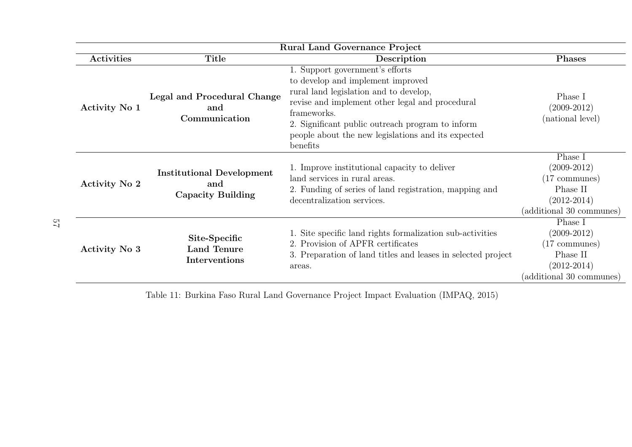<span id="page-56-0"></span>

| <b>Rural Land Governance Project</b> |                                                                     |                                                                                                                                                                                                                                                                                                        |                                                                                                                |
|--------------------------------------|---------------------------------------------------------------------|--------------------------------------------------------------------------------------------------------------------------------------------------------------------------------------------------------------------------------------------------------------------------------------------------------|----------------------------------------------------------------------------------------------------------------|
| Activities                           | Title                                                               | Description                                                                                                                                                                                                                                                                                            | <b>Phases</b>                                                                                                  |
| Activity No 1                        | Legal and Procedural Change<br>and<br>Communication                 | 1. Support government's efforts<br>to develop and implement improved<br>rural land legislation and to develop,<br>revise and implement other legal and procedural<br>frameworks.<br>2. Significant public outreach program to inform<br>people about the new legislations and its expected<br>benefits | Phase I<br>$(2009-2012)$<br>(national level)                                                                   |
| Activity No 2                        | <b>Institutional Development</b><br>and<br><b>Capacity Building</b> | 1. Improve institutional capacity to deliver<br>land services in rural areas.<br>2. Funding of series of land registration, mapping and<br>decentralization services.                                                                                                                                  | Phase I<br>$(2009-2012)$<br>$(17 \text{ communes})$<br>Phase II<br>$(2012 - 2014)$<br>(additional 30 communes) |
| Activity No 3                        | Site-Specific<br><b>Land Tenure</b><br>Interventions                | 1. Site specific land rights formalization sub-activities<br>2. Provision of APFR certificates<br>3. Preparation of land titles and leases in selected project<br>areas.                                                                                                                               | Phase I<br>$(2009-2012)$<br>$(17 \text{ communes})$<br>Phase II<br>$(2012 - 2014)$<br>(additional 30 communes) |

Table 11: Burkina Faso Rural Land Governance Project Impact Evaluation (IMPAQ, 2015)

57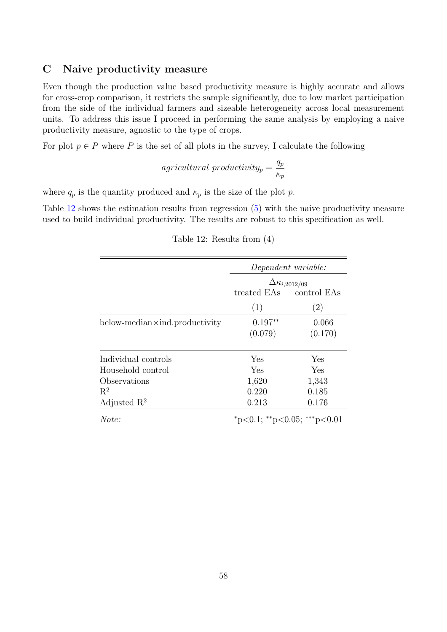### C Naive productivity measure

Even though the production value based productivity measure is highly accurate and allows for cross-crop comparison, it restricts the sample significantly, due to low market participation from the side of the individual farmers and sizeable heterogeneity across local measurement units. To address this issue I proceed in performing the same analysis by employing a naive productivity measure, agnostic to the type of crops.

For plot  $p \in P$  where P is the set of all plots in the survey, I calculate the following

$$
agricultural\ productivity_p = \frac{q_p}{\kappa_p}
$$

where  $q_p$  is the quantity produced and  $\kappa_p$  is the size of the plot p.

<span id="page-57-0"></span>Table [12](#page-57-0) shows the estimation results from regression [\(5\)](#page-20-1) with the naive productivity measure used to build individual productivity. The results are robust to this specification as well.

|                                           | Dependent variable:<br>$\Delta\kappa_{i,2012/09}$ |                   |  |
|-------------------------------------------|---------------------------------------------------|-------------------|--|
|                                           |                                                   |                   |  |
|                                           | treated EAs                                       | control EAs       |  |
|                                           | (1)                                               | $\left( 2\right)$ |  |
| $below$ -median $\times$ ind.productivity | $0.197**$<br>(0.079)                              | 0.066<br>(0.170)  |  |
|                                           |                                                   |                   |  |
| Individual controls                       | Yes                                               | Yes               |  |
| Household control                         | Yes                                               | Yes               |  |
| Observations                              | 1,620                                             | 1,343             |  |
| $R^2$                                     | 0.220                                             | 0.185             |  |
| Adjusted $\mathbb{R}^2$                   | 0.213                                             | 0.176             |  |
| Note:                                     | *p<0.1; **p<0.05; ***p<0.01                       |                   |  |

|  |  | Table 12: Results from $(4)$ |  |  |  |
|--|--|------------------------------|--|--|--|
|--|--|------------------------------|--|--|--|